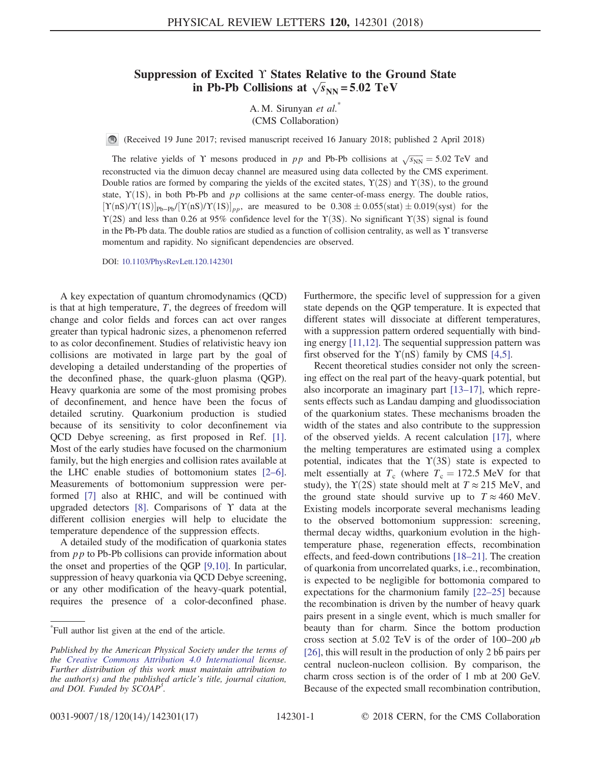## Suppression of Excited Υ States Relative to the Ground State in of Excited Y States Relative to the Gi<br>in Pb-Pb Collisions at  $\sqrt{s}_{NN} = 5.02$  TeV

A. M. Sirunyan et al.<sup>\*</sup> (CMS Collaboration)

(Received 19 June 2017; revised manuscript received 16 January 2018; published 2 April 2018)

The relative yields of Y mesons produced in pp and Pb-Pb collisions at  $\sqrt{s_{NN}} = 5.02$  TeV and reconstructed via the dimuon decay channel are measured using data collected by the CMS experiment. Double ratios are formed by comparing the yields of the excited states,  $\Upsilon(2S)$  and  $\Upsilon(3S)$ , to the ground state,  $\Upsilon(1S)$ , in both Pb-Pb and pp collisions at the same center-of-mass energy. The double ratios,  $[\Upsilon(nS)/\Upsilon(1S)]_{\text{Pb-Pb}}/[\Upsilon(nS)/\Upsilon(1S)]_{pp}$ , are measured to be  $0.308 \pm 0.055(stat) \pm 0.019(syst)$  for the  $\Upsilon(2S)$  and less than 0.26 at 95% confidence level for the  $\Upsilon(3S)$ . No significant  $\Upsilon(3S)$  signal is found in the Pb-Pb data. The double ratios are studied as a function of collision centrality, as well as  $\Upsilon$  transverse momentum and rapidity. No significant dependencies are observed.

DOI: [10.1103/PhysRevLett.120.142301](https://doi.org/10.1103/PhysRevLett.120.142301)

A key expectation of quantum chromodynamics (QCD) is that at high temperature,  $T$ , the degrees of freedom will change and color fields and forces can act over ranges greater than typical hadronic sizes, a phenomenon referred to as color deconfinement. Studies of relativistic heavy ion collisions are motivated in large part by the goal of developing a detailed understanding of the properties of the deconfined phase, the quark-gluon plasma (QGP). Heavy quarkonia are some of the most promising probes of deconfinement, and hence have been the focus of detailed scrutiny. Quarkonium production is studied because of its sensitivity to color deconfinement via QCD Debye screening, as first proposed in Ref. [\[1\]](#page-4-0). Most of the early studies have focused on the charmonium family, but the high energies and collision rates available at the LHC enable studies of bottomonium states [\[2](#page-4-1)–6]. Measurements of bottomonium suppression were performed [\[7\]](#page-4-2) also at RHIC, and will be continued with upgraded detectors [\[8\].](#page-5-0) Comparisons of  $\Upsilon$  data at the different collision energies will help to elucidate the temperature dependence of the suppression effects.

A detailed study of the modification of quarkonia states from  $pp$  to Pb-Pb collisions can provide information about the onset and properties of the QGP [\[9,10\].](#page-5-1) In particular, suppression of heavy quarkonia via QCD Debye screening, or any other modification of the heavy-quark potential, requires the presence of a color-deconfined phase. Furthermore, the specific level of suppression for a given state depends on the QGP temperature. It is expected that different states will dissociate at different temperatures, with a suppression pattern ordered sequentially with binding energy [\[11,12\]](#page-5-2). The sequential suppression pattern was first observed for the  $\Upsilon(nS)$  family by CMS [\[4,5\].](#page-4-3)

Recent theoretical studies consider not only the screening effect on the real part of the heavy-quark potential, but also incorporate an imaginary part [13–[17\],](#page-5-3) which represents effects such as Landau damping and gluodissociation of the quarkonium states. These mechanisms broaden the width of the states and also contribute to the suppression of the observed yields. A recent calculation [\[17\],](#page-5-4) where the melting temperatures are estimated using a complex potential, indicates that the  $\Upsilon(3S)$  state is expected to melt essentially at  $T_c$  (where  $T_c = 172.5$  MeV for that study), the  $\Upsilon(2S)$  state should melt at  $T \approx 215$  MeV, and the ground state should survive up to  $T \approx 460$  MeV. Existing models incorporate several mechanisms leading to the observed bottomonium suppression: screening, thermal decay widths, quarkonium evolution in the hightemperature phase, regeneration effects, recombination effects, and feed-down contributions [18–[21\].](#page-5-5) The creation of quarkonia from uncorrelated quarks, i.e., recombination, is expected to be negligible for bottomonia compared to expectations for the charmonium family [\[22](#page-5-6)–25] because the recombination is driven by the number of heavy quark pairs present in a single event, which is much smaller for beauty than for charm. Since the bottom production cross section at 5.02 TeV is of the order of 100–200  $\mu$ b [\[26\]](#page-5-7), this will result in the production of only 2  $b\bar{b}$  pairs per central nucleon-nucleon collision. By comparison, the charm cross section is of the order of 1 mb at 200 GeV. Because of the expected small recombination contribution,

<sup>\*</sup> Full author list given at the end of the article.

Published by the American Physical Society under the terms of the [Creative Commons Attribution 4.0 International](https://creativecommons.org/licenses/by/4.0/) license. Further distribution of this work must maintain attribution to the author(s) and the published article's title, journal citation, and DOI. Funded by SCOAP<sup>3</sup>.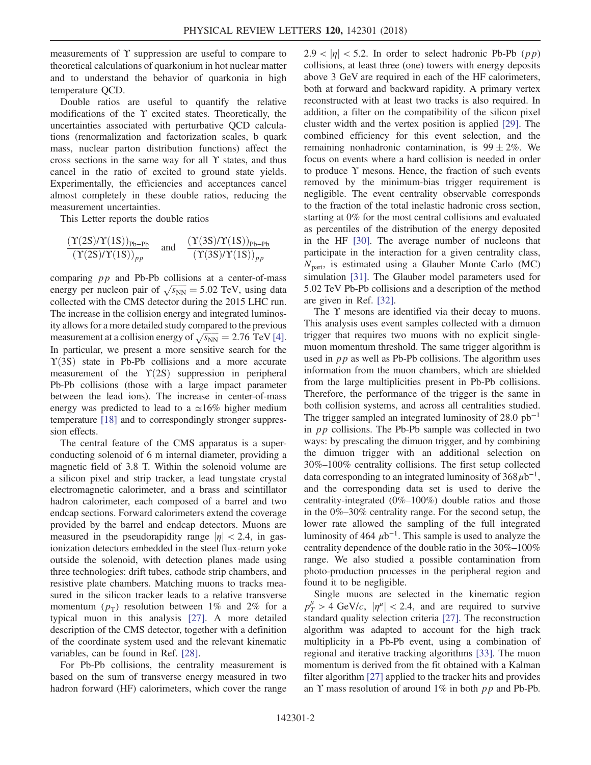measurements of ϒ suppression are useful to compare to theoretical calculations of quarkonium in hot nuclear matter and to understand the behavior of quarkonia in high temperature QCD.

Double ratios are useful to quantify the relative modifications of the ϒ excited states. Theoretically, the uncertainties associated with perturbative QCD calculations (renormalization and factorization scales, b quark mass, nuclear parton distribution functions) affect the cross sections in the same way for all  $\Upsilon$  states, and thus cancel in the ratio of excited to ground state yields. Experimentally, the efficiencies and acceptances cancel almost completely in these double ratios, reducing the measurement uncertainties.

This Letter reports the double ratios

$$
\frac{\left(\Upsilon(2S)/\Upsilon(1S)\right)_{Pb-Pb}}{\left(\Upsilon(2S)/\Upsilon(1S)\right)_{pp}} \quad \text{and} \quad \frac{\left(\Upsilon(3S)/\Upsilon(1S)\right)_{Pb-Pb}}{\left(\Upsilon(3S)/\Upsilon(1S)\right)_{pp}}
$$

comparing  $pp$  and Pb-Pb collisions at a center-of-mass comparing *pp* and Pb-Pb collisions at a center-or-mass<br>energy per nucleon pair of  $\sqrt{s_{NN}} = 5.02$  TeV, using data collected with the CMS detector during the 2015 LHC run. The increase in the collision energy and integrated luminosity allows for a more detailed study compared to the previous ity allows for a more detailed study compared to the previous measurement at a collision energy of  $\sqrt{s_{NN}} = 2.76$  TeV [\[4\]](#page-4-3). In particular, we present a more sensitive search for the  $\Upsilon(3S)$  state in Pb-Pb collisions and a more accurate measurement of the  $\Upsilon(2S)$  suppression in peripheral Pb-Pb collisions (those with a large impact parameter between the lead ions). The increase in center-of-mass energy was predicted to lead to a ≃16% higher medium temperature [\[18\]](#page-5-5) and to correspondingly stronger suppression effects.

The central feature of the CMS apparatus is a superconducting solenoid of 6 m internal diameter, providing a magnetic field of 3.8 T. Within the solenoid volume are a silicon pixel and strip tracker, a lead tungstate crystal electromagnetic calorimeter, and a brass and scintillator hadron calorimeter, each composed of a barrel and two endcap sections. Forward calorimeters extend the coverage provided by the barrel and endcap detectors. Muons are measured in the pseudorapidity range  $|\eta| < 2.4$ , in gasionization detectors embedded in the steel flux-return yoke outside the solenoid, with detection planes made using three technologies: drift tubes, cathode strip chambers, and resistive plate chambers. Matching muons to tracks measured in the silicon tracker leads to a relative transverse momentum  $(p_T)$  resolution between 1% and 2% for a typical muon in this analysis [\[27\]](#page-5-8). A more detailed description of the CMS detector, together with a definition of the coordinate system used and the relevant kinematic variables, can be found in Ref. [\[28\]](#page-5-9).

For Pb-Pb collisions, the centrality measurement is based on the sum of transverse energy measured in two hadron forward (HF) calorimeters, which cover the range  $2.9 < |\eta| < 5.2$ . In order to select hadronic Pb-Pb (pp) collisions, at least three (one) towers with energy deposits above 3 GeV are required in each of the HF calorimeters, both at forward and backward rapidity. A primary vertex reconstructed with at least two tracks is also required. In addition, a filter on the compatibility of the silicon pixel cluster width and the vertex position is applied [\[29\].](#page-5-10) The combined efficiency for this event selection, and the remaining nonhadronic contamination, is  $99 \pm 2\%$ . We focus on events where a hard collision is needed in order to produce ϒ mesons. Hence, the fraction of such events removed by the minimum-bias trigger requirement is negligible. The event centrality observable corresponds to the fraction of the total inelastic hadronic cross section, starting at 0% for the most central collisions and evaluated as percentiles of the distribution of the energy deposited in the HF [\[30\]](#page-5-11). The average number of nucleons that participate in the interaction for a given centrality class,  $N_{\text{part}}$ , is estimated using a Glauber Monte Carlo (MC) simulation [\[31\]](#page-5-12). The Glauber model parameters used for 5.02 TeV Pb-Pb collisions and a description of the method are given in Ref. [\[32\].](#page-5-13)

The Y mesons are identified via their decay to muons. This analysis uses event samples collected with a dimuon trigger that requires two muons with no explicit singlemuon momentum threshold. The same trigger algorithm is used in  $pp$  as well as Pb-Pb collisions. The algorithm uses information from the muon chambers, which are shielded from the large multiplicities present in Pb-Pb collisions. Therefore, the performance of the trigger is the same in both collision systems, and across all centralities studied. The trigger sampled an integrated luminosity of 28.0  $pb^{-1}$ in  $pp$  collisions. The Pb-Pb sample was collected in two ways: by prescaling the dimuon trigger, and by combining the dimuon trigger with an additional selection on 30%–100% centrality collisions. The first setup collected data corresponding to an integrated luminosity of  $368 \mu b^{-1}$ , and the corresponding data set is used to derive the centrality-integrated (0%–100%) double ratios and those in the 0%–30% centrality range. For the second setup, the lower rate allowed the sampling of the full integrated luminosity of 464  $\mu$ b<sup>-1</sup>. This sample is used to analyze the centrality dependence of the double ratio in the 30%–100% range. We also studied a possible contamination from photo-production processes in the peripheral region and found it to be negligible.

Single muons are selected in the kinematic region  $p_T^{\mu} > 4$  GeV/c,  $|\eta^{\mu}| < 2.4$ , and are required to survive standard quality selection criteria [\[27\]](#page-5-8). The reconstruction algorithm was adapted to account for the high track multiplicity in a Pb-Pb event, using a combination of regional and iterative tracking algorithms [\[33\]](#page-5-14). The muon momentum is derived from the fit obtained with a Kalman filter algorithm [\[27\]](#page-5-8) applied to the tracker hits and provides an  $\Upsilon$  mass resolution of around 1% in both pp and Pb-Pb.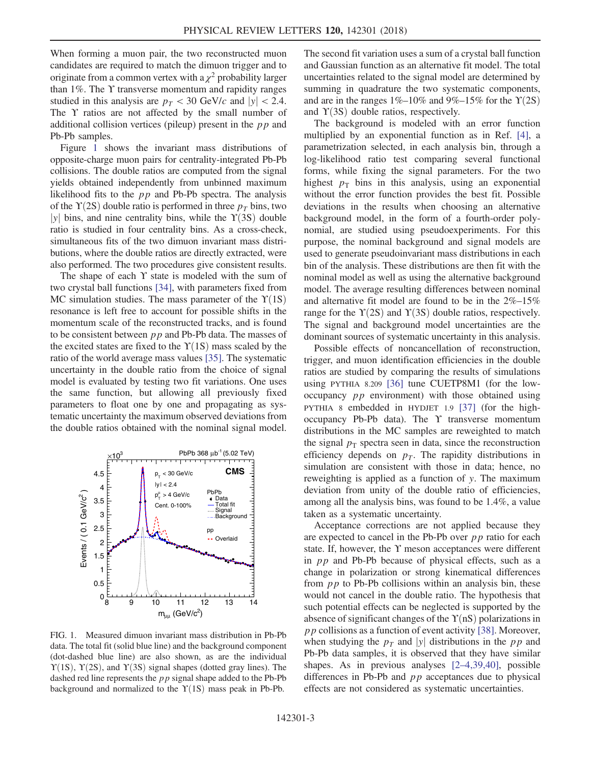When forming a muon pair, the two reconstructed muon candidates are required to match the dimuon trigger and to originate from a common vertex with a  $\chi^2$  probability larger than 1%. The Υ transverse momentum and rapidity ranges studied in this analysis are  $p_T < 30$  GeV/c and  $|y| < 2.4$ . The Y ratios are not affected by the small number of additional collision vertices (pileup) present in the pp and Pb-Pb samples.

Figure [1](#page-2-0) shows the invariant mass distributions of opposite-charge muon pairs for centrality-integrated Pb-Pb collisions. The double ratios are computed from the signal yields obtained independently from unbinned maximum likelihood fits to the  $pp$  and Pb-Pb spectra. The analysis of the  $\Upsilon(2S)$  double ratio is performed in three  $p<sub>T</sub>$  bins, two |y| bins, and nine centrality bins, while the  $\Upsilon(3S)$  double ratio is studied in four centrality bins. As a cross-check, simultaneous fits of the two dimuon invariant mass distributions, where the double ratios are directly extracted, were also performed. The two procedures give consistent results.

The shape of each  $\Upsilon$  state is modeled with the sum of two crystal ball functions [\[34\]](#page-5-15), with parameters fixed from MC simulation studies. The mass parameter of the  $\Upsilon(1S)$ resonance is left free to account for possible shifts in the momentum scale of the reconstructed tracks, and is found to be consistent between  $pp$  and Pb-Pb data. The masses of the excited states are fixed to the  $\Upsilon(1S)$  mass scaled by the ratio of the world average mass values [\[35\].](#page-5-16) The systematic uncertainty in the double ratio from the choice of signal model is evaluated by testing two fit variations. One uses the same function, but allowing all previously fixed parameters to float one by one and propagating as systematic uncertainty the maximum observed deviations from the double ratios obtained with the nominal signal model.

<span id="page-2-0"></span>

FIG. 1. Measured dimuon invariant mass distribution in Pb-Pb data. The total fit (solid blue line) and the background component (dot-dashed blue line) are also shown, as are the individual  $\Upsilon(1S)$ ,  $\Upsilon(2S)$ , and  $\Upsilon(3S)$  signal shapes (dotted gray lines). The dashed red line represents the  $p p$  signal shape added to the Pb-Pb background and normalized to the  $\Upsilon(1S)$  mass peak in Pb-Pb.

The second fit variation uses a sum of a crystal ball function and Gaussian function as an alternative fit model. The total uncertainties related to the signal model are determined by summing in quadrature the two systematic components, and are in the ranges  $1\%$ – $10\%$  and  $9\%$ – $15\%$  for the  $\Upsilon(2S)$ and  $\Upsilon(3S)$  double ratios, respectively.

The background is modeled with an error function multiplied by an exponential function as in Ref. [\[4\],](#page-4-3) a parametrization selected, in each analysis bin, through a log-likelihood ratio test comparing several functional forms, while fixing the signal parameters. For the two highest  $p<sub>T</sub>$  bins in this analysis, using an exponential without the error function provides the best fit. Possible deviations in the results when choosing an alternative background model, in the form of a fourth-order polynomial, are studied using pseudoexperiments. For this purpose, the nominal background and signal models are used to generate pseudoinvariant mass distributions in each bin of the analysis. These distributions are then fit with the nominal model as well as using the alternative background model. The average resulting differences between nominal and alternative fit model are found to be in the 2%–15% range for the  $\Upsilon(2S)$  and  $\Upsilon(3S)$  double ratios, respectively. The signal and background model uncertainties are the dominant sources of systematic uncertainty in this analysis.

Possible effects of noncancellation of reconstruction, trigger, and muon identification efficiencies in the double ratios are studied by comparing the results of simulations using PYTHIA 8.209 [\[36\]](#page-5-17) tune CUETP8M1 (for the lowoccupancy  $pp$  environment) with those obtained using PYTHIA 8 embedded in HYDJET 1.9 [\[37\]](#page-5-18) (for the highoccupancy Pb-Pb data). The ϒ transverse momentum distributions in the MC samples are reweighted to match the signal  $p<sub>T</sub>$  spectra seen in data, since the reconstruction efficiency depends on  $p<sub>T</sub>$ . The rapidity distributions in simulation are consistent with those in data; hence, no reweighting is applied as a function of y. The maximum deviation from unity of the double ratio of efficiencies, among all the analysis bins, was found to be 1.4%, a value taken as a systematic uncertainty.

Acceptance corrections are not applied because they are expected to cancel in the Pb-Pb over  $pp$  ratio for each state. If, however, the  $\Upsilon$  meson acceptances were different in pp and Pb-Pb because of physical effects, such as a change in polarization or strong kinematical differences from  $pp$  to Pb-Pb collisions within an analysis bin, these would not cancel in the double ratio. The hypothesis that such potential effects can be neglected is supported by the absence of significant changes of the  $\Upsilon(nS)$  polarizations in pp collisions as a function of event activity [\[38\]](#page-5-19). Moreover, when studying the  $p_T$  and |y| distributions in the pp and Pb-Pb data samples, it is observed that they have similar shapes. As in previous analyses [2–[4,39,40\],](#page-4-1) possible differences in Pb-Pb and  $pp$  acceptances due to physical effects are not considered as systematic uncertainties.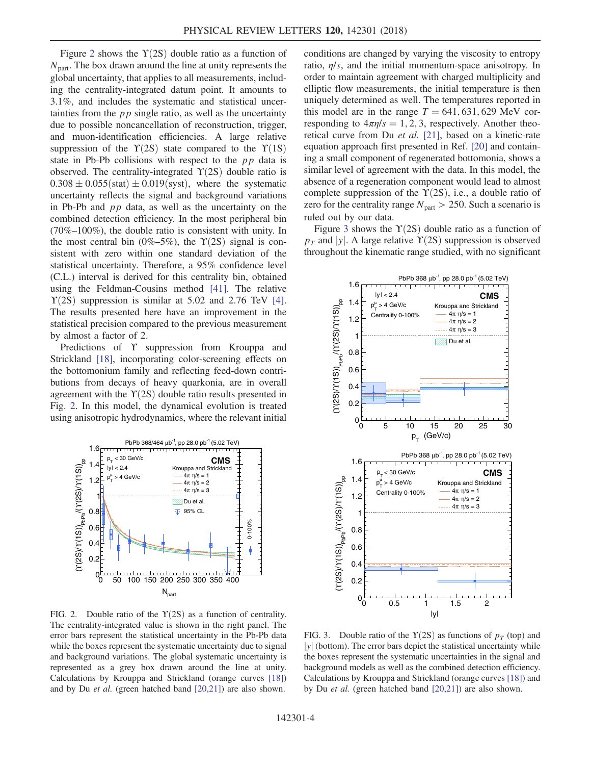Figure [2](#page-3-0) shows the  $\Upsilon(2S)$  double ratio as a function of  $N<sub>part</sub>$ . The box drawn around the line at unity represents the global uncertainty, that applies to all measurements, including the centrality-integrated datum point. It amounts to 3.1%, and includes the systematic and statistical uncertainties from the  $pp$  single ratio, as well as the uncertainty due to possible noncancellation of reconstruction, trigger, and muon-identification efficiencies. A large relative suppression of the  $\Upsilon(2S)$  state compared to the  $\Upsilon(1S)$ state in Pb-Pb collisions with respect to the  $pp$  data is observed. The centrality-integrated  $\Upsilon(2S)$  double ratio is  $0.308 \pm 0.055$ (stat)  $\pm 0.019$ (syst), where the systematic uncertainty reflects the signal and background variations in Pb-Pb and  $pp$  data, as well as the uncertainty on the combined detection efficiency. In the most peripheral bin (70%–100%), the double ratio is consistent with unity. In the most central bin  $(0\% - 5\%)$ , the  $\Upsilon(2S)$  signal is consistent with zero within one standard deviation of the statistical uncertainty. Therefore, a 95% confidence level (C.L.) interval is derived for this centrality bin, obtained using the Feldman-Cousins method [\[41\].](#page-5-20) The relative  $\Upsilon(2S)$  suppression is similar at 5.02 and 2.76 TeV [\[4\]](#page-4-3). The results presented here have an improvement in the statistical precision compared to the previous measurement by almost a factor of 2.

Predictions of Y suppression from Krouppa and Strickland [\[18\],](#page-5-5) incorporating color-screening effects on the bottomonium family and reflecting feed-down contributions from decays of heavy quarkonia, are in overall agreement with the  $\Upsilon(2S)$  double ratio results presented in Fig. [2](#page-3-0). In this model, the dynamical evolution is treated using anisotropic hydrodynamics, where the relevant initial

<span id="page-3-0"></span>

FIG. 2. Double ratio of the  $\Upsilon(2S)$  as a function of centrality. The centrality-integrated value is shown in the right panel. The error bars represent the statistical uncertainty in the Pb-Pb data while the boxes represent the systematic uncertainty due to signal and background variations. The global systematic uncertainty is represented as a grey box drawn around the line at unity. Calculations by Krouppa and Strickland (orange curves [\[18\]\)](#page-5-5) and by Du et al. (green hatched band [\[20,21\]](#page-5-22)) are also shown.

conditions are changed by varying the viscosity to entropy ratio,  $\eta/s$ , and the initial momentum-space anisotropy. In order to maintain agreement with charged multiplicity and elliptic flow measurements, the initial temperature is then uniquely determined as well. The temperatures reported in this model are in the range  $T = 641, 631, 629$  MeV corresponding to  $4\pi\eta/s = 1, 2, 3$ , respectively. Another theoretical curve from Du et al. [\[21\],](#page-5-21) based on a kinetic-rate equation approach first presented in Ref. [\[20\]](#page-5-22) and containing a small component of regenerated bottomonia, shows a similar level of agreement with the data. In this model, the absence of a regeneration component would lead to almost complete suppression of the  $\Upsilon(2S)$ , i.e., a double ratio of zero for the centrality range  $N_{part} > 250$ . Such a scenario is ruled out by our data.

Figure [3](#page-3-1) shows the  $\Upsilon(2S)$  double ratio as a function of  $p_T$  and |y|. A large relative  $\Upsilon(2S)$  suppression is observed throughout the kinematic range studied, with no significant

<span id="page-3-1"></span>

FIG. 3. Double ratio of the  $\Upsilon(2S)$  as functions of  $p_T$  (top) and  $|y|$  (bottom). The error bars depict the statistical uncertainty while the boxes represent the systematic uncertainties in the signal and background models as well as the combined detection efficiency. Calculations by Krouppa and Strickland (orange curves [\[18\]](#page-5-5)) and by Du et al. (green hatched band [\[20,21\]](#page-5-22)) are also shown.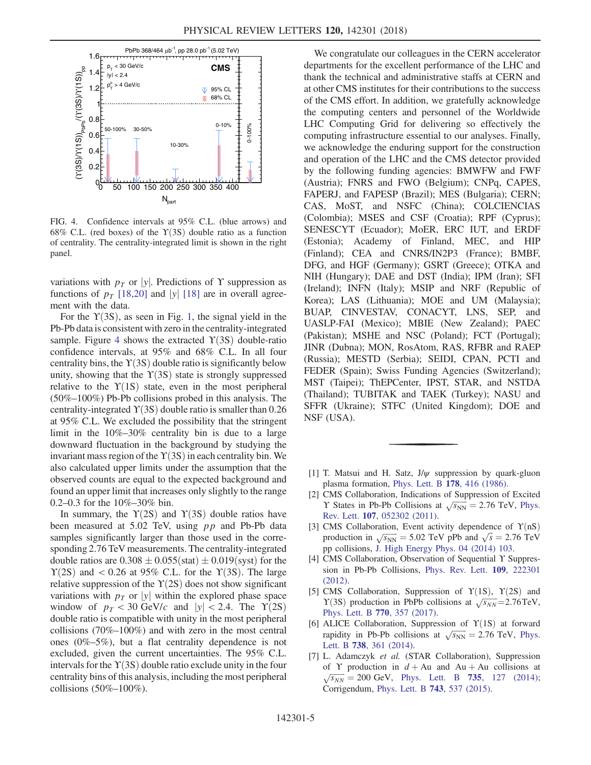<span id="page-4-4"></span>

FIG. 4. Confidence intervals at 95% C.L. (blue arrows) and 68% C.L. (red boxes) of the  $\Upsilon(3S)$  double ratio as a function of centrality. The centrality-integrated limit is shown in the right panel.

variations with  $p<sub>T</sub>$  or |y|. Predictions of Y suppression as functions of  $p_T$  [\[18,20\]](#page-5-5) and |y| [\[18\]](#page-5-5) are in overall agreement with the data.

For the  $\Upsilon(3S)$ , as seen in Fig. [1,](#page-2-0) the signal yield in the Pb-Pb data is consistent with zero in the centrality-integrated sample. Figure [4](#page-4-4) shows the extracted  $\Upsilon(3S)$  double-ratio confidence intervals, at 95% and 68% C.L. In all four centrality bins, the  $\Upsilon(3S)$  double ratio is significantly below unity, showing that the  $\Upsilon(3S)$  state is strongly suppressed relative to the  $\Upsilon(1S)$  state, even in the most peripheral (50%–100%) Pb-Pb collisions probed in this analysis. The centrality-integrated  $\Upsilon(3S)$  double ratio is smaller than 0.26 at 95% C.L. We excluded the possibility that the stringent limit in the 10%–30% centrality bin is due to a large downward fluctuation in the background by studying the invariant mass region of the  $\Upsilon(3S)$  in each centrality bin. We also calculated upper limits under the assumption that the observed counts are equal to the expected background and found an upper limit that increases only slightly to the range 0.2–0.3 for the 10%–30% bin.

In summary, the  $\Upsilon(2S)$  and  $\Upsilon(3S)$  double ratios have been measured at 5.02 TeV, using  $pp$  and Pb-Pb data samples significantly larger than those used in the corresponding 2.76 TeV measurements. The centrality-integrated double ratios are  $0.308 \pm 0.055$ (stat)  $\pm 0.019$ (syst) for the  $\Upsilon(2S)$  and < 0.26 at 95% C.L. for the  $\Upsilon(3S)$ . The large relative suppression of the  $\Upsilon(2S)$  does not show significant variations with  $p<sub>T</sub>$  or |y| within the explored phase space window of  $p_T < 30$  GeV/c and  $|y| < 2.4$ . The  $\Upsilon(2S)$ double ratio is compatible with unity in the most peripheral collisions (70%–100%) and with zero in the most central ones (0%–5%), but a flat centrality dependence is not excluded, given the current uncertainties. The 95% C.L. intervals for the  $\Upsilon(3S)$  double ratio exclude unity in the four centrality bins of this analysis, including the most peripheral collisions (50%–100%).

We congratulate our colleagues in the CERN accelerator departments for the excellent performance of the LHC and thank the technical and administrative staffs at CERN and at other CMS institutes for their contributions to the success of the CMS effort. In addition, we gratefully acknowledge the computing centers and personnel of the Worldwide LHC Computing Grid for delivering so effectively the computing infrastructure essential to our analyses. Finally, we acknowledge the enduring support for the construction and operation of the LHC and the CMS detector provided by the following funding agencies: BMWFW and FWF (Austria); FNRS and FWO (Belgium); CNPq, CAPES, FAPERJ, and FAPESP (Brazil); MES (Bulgaria); CERN; CAS, MoST, and NSFC (China); COLCIENCIAS (Colombia); MSES and CSF (Croatia); RPF (Cyprus); SENESCYT (Ecuador); MoER, ERC IUT, and ERDF (Estonia); Academy of Finland, MEC, and HIP (Finland); CEA and CNRS/IN2P3 (France); BMBF, DFG, and HGF (Germany); GSRT (Greece); OTKA and NIH (Hungary); DAE and DST (India); IPM (Iran); SFI (Ireland); INFN (Italy); MSIP and NRF (Republic of Korea); LAS (Lithuania); MOE and UM (Malaysia); BUAP, CINVESTAV, CONACYT, LNS, SEP, and UASLP-FAI (Mexico); MBIE (New Zealand); PAEC (Pakistan); MSHE and NSC (Poland); FCT (Portugal); JINR (Dubna); MON, RosAtom, RAS, RFBR and RAEP (Russia); MESTD (Serbia); SEIDI, CPAN, PCTI and FEDER (Spain); Swiss Funding Agencies (Switzerland); MST (Taipei); ThEPCenter, IPST, STAR, and NSTDA (Thailand); TUBITAK and TAEK (Turkey); NASU and SFFR (Ukraine); STFC (United Kingdom); DOE and NSF (USA).

- <span id="page-4-1"></span><span id="page-4-0"></span>[1] T. Matsui and H. Satz,  $J/\psi$  suppression by quark-gluon plasma formation, [Phys. Lett. B](https://doi.org/10.1016/0370-2693(86)91404-8) 178, 416 (1986).
- [2] CMS Collaboration, Indications of Suppression of Excited **CMS** Collaboration, indications of Suppression of Excited  $\Upsilon$  States in Pb-Pb Collisions at  $\sqrt{s_{NN}} = 2.76$  TeV, [Phys.](https://doi.org/10.1103/PhysRevLett.107.052302) Rev. Lett. 107[, 052302 \(2011\).](https://doi.org/10.1103/PhysRevLett.107.052302)
- <span id="page-4-3"></span>[3] CMS Collaboration, Event activity dependence of  $\Upsilon(nS)$ CMS Collaboration, Event activity dependence of  $\Gamma$ (nS) production in  $\sqrt{s_{NN}}$  = 5.02 TeV pPb and  $\sqrt{s}$  = 2.76 TeV pp collisions, [J. High Energy Phys. 04 \(2014\) 103.](https://doi.org/10.1007/JHEP04(2014)103)
- [4] CMS Collaboration, Observation of Sequential Υ Suppression in Pb-Pb Collisions, [Phys. Rev. Lett.](https://doi.org/10.1103/PhysRevLett.109.222301) 109, 222301 [\(2012\).](https://doi.org/10.1103/PhysRevLett.109.222301)
- [5] CMS Collaboration, Suppression of  $\Upsilon(1S)$ ,  $\Upsilon(2S)$  and CMS Collaboration, Suppression of  $I(1S)$ ,  $I(2S)$  and  $\Upsilon(3S)$  production in PbPb collisions at  $\sqrt{s_{NN}}$  = 2.76TeV, [Phys. Lett. B](https://doi.org/10.1016/j.physletb.2017.04.031) 770, 357 (2017).
- <span id="page-4-2"></span>[6] ALICE Collaboration, Suppression of  $\Upsilon(1S)$  at forward ALICE Conaboration, suppression of  $I(15)$  at forward rapidity in Pb-Pb collisions at  $\sqrt{s_{NN}} = 2.76$  TeV, [Phys.](https://doi.org/10.1016/j.physletb.2014.10.001) Lett. B 738[, 361 \(2014\).](https://doi.org/10.1016/j.physletb.2014.10.001)
- [7] L. Adamczyk et al. (STAR Collaboration), Suppression of Y production in  $d + Au$  and  $Au + Au$  collisions at  $\sqrt{s_{NN}}$  = 200 GeV, [Phys. Lett. B](https://doi.org/10.1016/j.physletb.2014.06.028) 735, 127 (2014); Corrigendum, [Phys. Lett. B](https://doi.org/10.1016/j.physletb.2015.01.046) 743, 537 (2015).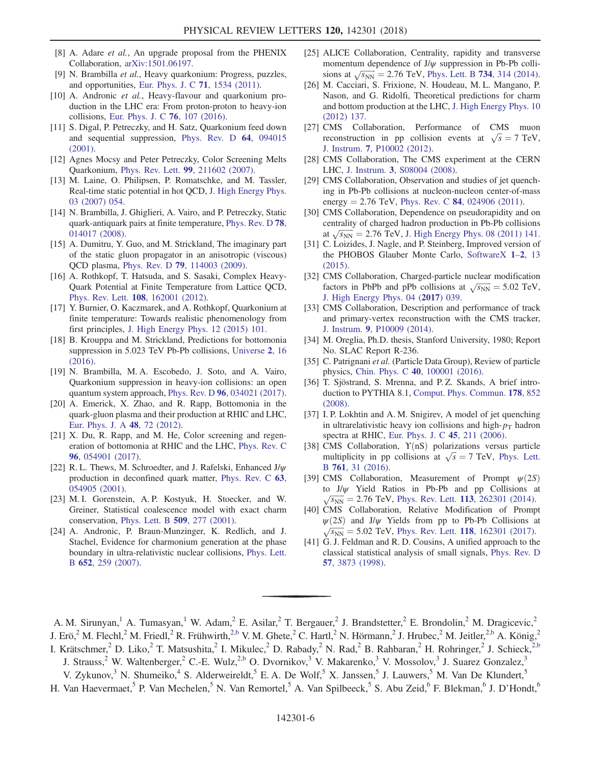- <span id="page-5-0"></span>[8] A. Adare *et al.*, An upgrade proposal from the PHENIX Collaboration, [arXiv:1501.06197.](http://arXiv.org/abs/1501.06197)
- <span id="page-5-1"></span>[9] N. Brambilla et al., Heavy quarkonium: Progress, puzzles, and opportunities, [Eur. Phys. J. C](https://doi.org/10.1140/epjc/s10052-010-1534-9) 71, 1534 (2011).
- [10] A. Andronic et al., Heavy-flavour and quarkonium production in the LHC era: From proton-proton to heavy-ion collisions, [Eur. Phys. J. C](https://doi.org/10.1140/epjc/s10052-015-3819-5) 76, 107 (2016).
- <span id="page-5-2"></span>[11] S. Digal, P. Petreczky, and H. Satz, Quarkonium feed down and sequential suppression, [Phys. Rev. D](https://doi.org/10.1103/PhysRevD.64.094015) 64, 094015 [\(2001\).](https://doi.org/10.1103/PhysRevD.64.094015)
- [12] Agnes Mocsy and Peter Petreczky, Color Screening Melts Quarkonium, Phys. Rev. Lett. 99[, 211602 \(2007\)](https://doi.org/10.1103/PhysRevLett.99.211602).
- <span id="page-5-3"></span>[13] M. Laine, O. Philipsen, P. Romatschke, and M. Tassler, Real-time static potential in hot QCD, [J. High Energy Phys.](https://doi.org/10.1088/1126-6708/2007/03/054) [03 \(2007\) 054.](https://doi.org/10.1088/1126-6708/2007/03/054)
- [14] N. Brambilla, J. Ghiglieri, A. Vairo, and P. Petreczky, Static quark-antiquark pairs at finite temperature, [Phys. Rev. D](https://doi.org/10.1103/PhysRevD.78.014017) 78, [014017 \(2008\).](https://doi.org/10.1103/PhysRevD.78.014017)
- [15] A. Dumitru, Y. Guo, and M. Strickland, The imaginary part of the static gluon propagator in an anisotropic (viscous) QCD plasma, Phys. Rev. D 79[, 114003 \(2009\)](https://doi.org/10.1103/PhysRevD.79.114003).
- [16] A. Rothkopf, T. Hatsuda, and S. Sasaki, Complex Heavy-Quark Potential at Finite Temperature from Lattice QCD, Phys. Rev. Lett. 108[, 162001 \(2012\).](https://doi.org/10.1103/PhysRevLett.108.162001)
- <span id="page-5-4"></span>[17] Y. Burnier, O. Kaczmarek, and A. Rothkopf, Quarkonium at finite temperature: Towards realistic phenomenology from first principles, [J. High Energy Phys. 12 \(2015\) 101.](https://doi.org/10.1007/JHEP12(2015)101)
- <span id="page-5-5"></span>[18] B. Krouppa and M. Strickland, Predictions for bottomonia suppression in 5.023 TeV Pb-Pb collisions, [Universe](https://doi.org/10.3390/universe2030016) 2, 16 [\(2016\).](https://doi.org/10.3390/universe2030016)
- [19] N. Brambilla, M. A. Escobedo, J. Soto, and A. Vairo, Quarkonium suppression in heavy-ion collisions: an open quantum system approach, Phys. Rev. D 96[, 034021 \(2017\).](https://doi.org/10.1103/PhysRevD.96.034021)
- <span id="page-5-22"></span>[20] A. Emerick, X. Zhao, and R. Rapp, Bottomonia in the quark-gluon plasma and their production at RHIC and LHC, [Eur. Phys. J. A](https://doi.org/10.1140/epja/i2012-12072-y) 48, 72 (2012).
- <span id="page-5-21"></span>[21] X. Du, R. Rapp, and M. He, Color screening and regeneration of bottomonia at RHIC and the LHC, [Phys. Rev. C](https://doi.org/10.1103/PhysRevC.96.054901) 96[, 054901 \(2017\).](https://doi.org/10.1103/PhysRevC.96.054901)
- <span id="page-5-6"></span>[22] R. L. Thews, M. Schroedter, and J. Rafelski, Enhanced  $J/\psi$ production in deconfined quark matter, [Phys. Rev. C](https://doi.org/10.1103/PhysRevC.63.054905) 63, [054905 \(2001\).](https://doi.org/10.1103/PhysRevC.63.054905)
- [23] M. I. Gorenstein, A. P. Kostyuk, H. Stoecker, and W. Greiner, Statistical coalescence model with exact charm conservation, [Phys. Lett. B](https://doi.org/10.1016/S0370-2693(01)00516-0) 509, 277 (2001).
- [24] A. Andronic, P. Braun-Munzinger, K. Redlich, and J. Stachel, Evidence for charmonium generation at the phase boundary in ultra-relativistic nuclear collisions, [Phys. Lett.](https://doi.org/10.1016/j.physletb.2007.07.036) B 652[, 259 \(2007\)](https://doi.org/10.1016/j.physletb.2007.07.036).
- [25] ALICE Collaboration, Centrality, rapidity and transverse momentum dependence of  $J/\psi$  suppression in Pb-Pb collimomentum dependence of  $J/\psi$  suppression in Pb-Pb collisions at  $\sqrt{s_{NN}} = 2.76$  TeV, [Phys. Lett. B](https://doi.org/10.1016/j.physletb.2014.05.064) 734, 314 (2014).
- <span id="page-5-7"></span>[26] M. Cacciari, S. Frixione, N. Houdeau, M. L. Mangano, P. Nason, and G. Ridolfi, Theoretical predictions for charm and bottom production at the LHC, [J. High Energy Phys. 10](https://doi.org/10.1007/JHEP10(2012)137) [\(2012\) 137.](https://doi.org/10.1007/JHEP10(2012)137)
- <span id="page-5-8"></span>[27] CMS Collaboration, Performance of CMS muon CMS Collaboration, Performance of CMS muon<br>reconstruction in pp collision events at  $\sqrt{s} = 7$  TeV, J. Instrum. 7[, P10002 \(2012\)](https://doi.org/10.1088/1748-0221/7/10/P10002).
- <span id="page-5-9"></span>[28] CMS Collaboration, The CMS experiment at the CERN LHC, J. Instrum. 3[, S08004 \(2008\).](https://doi.org/10.1088/1748-0221/3/08/S08004)
- <span id="page-5-10"></span>[29] CMS Collaboration, Observation and studies of jet quenching in Pb-Pb collisions at nucleon-nucleon center-of-mass energy  $= 2.76$  TeV, Phys. Rev. C 84[, 024906 \(2011\)](https://doi.org/10.1103/PhysRevC.84.024906).
- <span id="page-5-11"></span>[30] CMS Collaboration, Dependence on pseudorapidity and on centrality of charged hadron production in Pb-Pb collisions centrality of charged hadron production in Pb-Pb collisions<br>at  $\sqrt{s_{NN}}$  = 2.76 TeV, [J. High Energy Phys. 08 \(2011\) 141.](https://doi.org/10.1007/JHEP08(2011)141)
- <span id="page-5-12"></span>[31] C. Loizides, J. Nagle, and P. Steinberg, Improved version of the PHOBOS Glauber Monte Carlo, [SoftwareX](https://doi.org/10.1016/j.softx.2015.05.001) 1–2, 13 [\(2015\).](https://doi.org/10.1016/j.softx.2015.05.001)
- <span id="page-5-13"></span>[32] CMS Collaboration, Charged-particle nuclear modification CMS Collaboration, Charged-particle nuclear modification<br>factors in PbPb and pPb collisions at  $\sqrt{s_{NN}} = 5.02$  TeV, [J. High Energy Phys. 04 \(](https://doi.org/10.1007/JHEP04(2017)039)2017) 039.
- <span id="page-5-14"></span>[33] CMS Collaboration, Description and performance of track and primary-vertex reconstruction with the CMS tracker, J. Instrum. 9[, P10009 \(2014\)](https://doi.org/10.1088/1748-0221/9/10/P10009).
- <span id="page-5-15"></span>[34] M. Oreglia, Ph.D. thesis, Stanford University, 1980; Report No. SLAC Report R-236.
- <span id="page-5-16"></span>[35] C. Patrignani et al. (Particle Data Group), Review of particle physics, Chin. Phys. C 40[, 100001 \(2016\).](https://doi.org/10.1088/1674-1137/40/10/100001)
- <span id="page-5-17"></span>[36] T. Sjöstrand, S. Mrenna, and P. Z. Skands, A brief introduction to PYTHIA 8.1, [Comput. Phys. Commun.](https://doi.org/10.1016/j.cpc.2008.01.036) 178, 852 [\(2008\).](https://doi.org/10.1016/j.cpc.2008.01.036)
- <span id="page-5-18"></span>[37] I. P. Lokhtin and A. M. Snigirev, A model of jet quenching in ultrarelativistic heavy ion collisions and high- $p<sub>T</sub>$  hadron spectra at RHIC, [Eur. Phys. J. C](https://doi.org/10.1140/epjc/s2005-02426-3) 45, 211 (2006).
- <span id="page-5-19"></span>[38] CMS Collaboration,  $\Upsilon(nS)$  polarizations versus particle CMS Collaboration,  $\Gamma(nS)$  polarizations versus particle<br>multiplicity in pp collisions at  $\sqrt{s} = 7$  TeV, [Phys. Lett.](https://doi.org/10.1016/j.physletb.2016.07.065) B 761[, 31 \(2016\)](https://doi.org/10.1016/j.physletb.2016.07.065).
- [39] CMS Collaboration, Measurement of Prompt  $\psi(2S)$ to  $J/\psi$  Yield Ratios in Pb-Pb and pp Collisions at  $\sqrt{s_{NN}}$  = 2.76 TeV, Phys. Rev. Lett. 113[, 262301 \(2014\).](https://doi.org/10.1103/PhysRevLett.113.262301)
- [40] CMS Collaboration, Relative Modification of Prompt  $\psi(2S)$  and J/ $\psi$  Yields from pp to Pb-Pb Collisions at  $\sqrt{s_{NN}}$  = 5.02 TeV, Phys. Rev. Lett. 118[, 162301 \(2017\).](https://doi.org/10.1103/PhysRevLett.118.162301)
- <span id="page-5-20"></span>[41] G. J. Feldman and R. D. Cousins, A unified approach to the classical statistical analysis of small signals, [Phys. Rev. D](https://doi.org/10.1103/PhysRevD.57.3873) 57[, 3873 \(1998\)](https://doi.org/10.1103/PhysRevD.57.3873).

A. M. Sirunyan,<sup>1</sup> A. Tumasyan,<sup>1</sup> W. Adam,<sup>2</sup> E. Asilar,<sup>2</sup> T. Bergauer,<sup>2</sup> J. Brandstetter,<sup>2</sup> E. Brondolin,<sup>2</sup> M. Dragicevic,<sup>2</sup>

J. Erö,<sup>2</sup> M. Flechl,<sup>2</sup> M. Friedl,<sup>2</sup> R. Frühwirth,<sup>[2,b](#page-15-0)</sup> V. M. Ghete,<sup>2</sup> C. Hartl,<sup>2</sup> N. Hörmann,<sup>2</sup> J. Hrubec,<sup>2</sup> M. Jeitler,<sup>2[,b](#page-15-0)</sup> A. König,<sup>2</sup> I. Krätschmer,<sup>2</sup> D. Liko,<sup>2</sup> T. Matsushita,<sup>2</sup> I. Mikulec,<sup>2</sup> D. Rabady,<sup>2</sup> N. Rad,<sup>2</sup> B. Rahbaran,<sup>2</sup> H. Rohringer,<sup>2</sup> J. Schieck,<sup>2[,b](#page-15-0)</sup>

<span id="page-5-23"></span>J. Strauss,<sup>2</sup> W. Waltenberger,<sup>2</sup> C.-E. Wulz,<sup>2[,b](#page-15-0)</sup> O. Dvornikov,<sup>3</sup> V. Makarenko,<sup>3</sup> V. Mossolov,<sup>3</sup> J. Suarez Gonzalez,<sup>3</sup>

V. Zykunov,<sup>3</sup> N. Shumeiko,<sup>4</sup> S. Alderweireldt,<sup>5</sup> E. A. De Wolf,<sup>5</sup> X. Janssen,<sup>5</sup> J. Lauwers,<sup>5</sup> M. Van De Klundert,<sup>5</sup>

H. Van Haevermaet,<sup>5</sup> P. Van Mechelen,<sup>5</sup> N. Van Remortel,<sup>5</sup> A. Van Spilbeeck,<sup>5</sup> S. Abu Zeid,<sup>6</sup> F. Blekman,<sup>6</sup> J. D'Hondt,<sup>6</sup>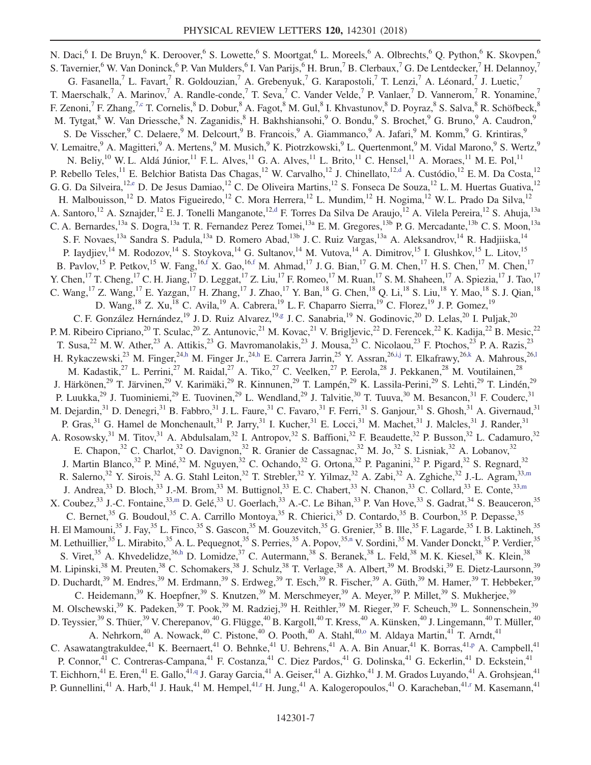<span id="page-6-12"></span><span id="page-6-11"></span><span id="page-6-10"></span><span id="page-6-9"></span><span id="page-6-8"></span><span id="page-6-7"></span><span id="page-6-6"></span><span id="page-6-5"></span><span id="page-6-4"></span><span id="page-6-3"></span><span id="page-6-2"></span><span id="page-6-1"></span><span id="page-6-0"></span>N. Daci,<sup>6</sup> I. De Bruyn,<sup>6</sup> K. Deroover,<sup>6</sup> S. Lowette,<sup>6</sup> S. Moortgat,<sup>6</sup> L. Moreels,<sup>6</sup> A. Olbrechts,<sup>6</sup> Q. Python,<sup>6</sup> K. Skovpen,<sup>6</sup> S. Tavernier,<sup>6</sup> W. Van Doninck,<sup>6</sup> P. Van Mulders,<sup>6</sup> I. Van Parijs,<sup>6</sup> H. Brun,<sup>7</sup> B. Clerbaux,<sup>7</sup> G. De Lentdecker,<sup>7</sup> H. Delannoy,<sup>7</sup> G. Fasanella,<sup>7</sup> L. Favart,<sup>7</sup> R. Goldouzian,<sup>7</sup> A. Grebenyuk,<sup>7</sup> G. Karapostoli,<sup>7</sup> T. Lenzi,<sup>7</sup> A. Léonard,<sup>7</sup> J. Luetic,<sup>7</sup> T. Maerschalk,<sup>7</sup> A. Marinov,<sup>7</sup> A. Randle-conde,<sup>7</sup> T. Seva,<sup>7</sup> C. Vander Velde,<sup>7</sup> P. Vanlaer,<sup>7</sup> D. Vannerom,<sup>7</sup> R. Yonamine,<sup>7</sup> F. Zenoni,<sup>7</sup> F. Zhang,<sup>7[,c](#page-15-1)</sup> T. Cornelis,<sup>8</sup> D. Dobur,<sup>8</sup> A. Fagot,<sup>8</sup> M. Gul,<sup>8</sup> I. Khvastunov,<sup>8</sup> D. Poyraz,<sup>8</sup> S. Salva,<sup>8</sup> R. Schöfbeck,<sup>8</sup> M. Tytgat,<sup>8</sup> W. Van Driessche,<sup>8</sup> N. Zaganidis,<sup>8</sup> H. Bakhshiansohi,<sup>9</sup> O. Bondu,<sup>9</sup> S. Brochet,<sup>9</sup> G. Bruno,<sup>9</sup> A. Caudron,<sup>9</sup> S. De Visscher,<sup>9</sup> C. Delaere,<sup>9</sup> M. Delcourt,<sup>9</sup> B. Francois,<sup>9</sup> A. Giammanco,<sup>9</sup> A. Jafari,<sup>9</sup> M. Komm,<sup>9</sup> G. Krintiras,<sup>9</sup> V. Lemaitre,<sup>9</sup> A. Magitteri,<sup>9</sup> A. Mertens,<sup>9</sup> M. Musich,<sup>9</sup> K. Piotrzkowski,<sup>9</sup> L. Quertenmont,<sup>9</sup> M. Vidal Marono,<sup>9</sup> S. Wertz,<sup>9</sup> N. Beliy, <sup>10</sup> W. L. Aldá Júnior, <sup>11</sup> F. L. Alves, <sup>11</sup> G. A. Alves, <sup>11</sup> L. Brito, <sup>11</sup> C. Hensel, <sup>11</sup> A. Moraes, <sup>11</sup> M. E. Pol, <sup>11</sup> P. Rebello Teles,<sup>11</sup> E. Belchior Batista Das Chagas,<sup>12</sup> W. Carvalho,<sup>12</sup> J. Chinellato,<sup>12[,d](#page-15-2)</sup> A. Custódio,<sup>12</sup> E. M. Da Costa,<sup>12</sup> G. G. Da Silveira, <sup>12[,e](#page-15-3)</sup> D. De Jesus Damiao, <sup>12</sup> C. De Oliveira Martins, <sup>12</sup> S. Fonseca De Souza, <sup>12</sup> L. M. Huertas Guativa, <sup>12</sup> H. Malbouisson,<sup>12</sup> D. Matos Figueiredo,<sup>12</sup> C. Mora Herrera,<sup>12</sup> L. Mundim,<sup>12</sup> H. Nogima,<sup>12</sup> W. L. Prado Da Silva,<sup>12</sup> A. Santoro,<sup>12</sup> A. Sznajder,<sup>12</sup> E. J. Tonelli Manganote,<sup>1[2,d](#page-15-2)</sup> F. Torres Da Silva De Araujo,<sup>12</sup> A. Vilela Pereira,<sup>12</sup> S. Ahuja,<sup>13a</sup> C. A. Bernardes,<sup>13a</sup> S. Dogra,<sup>13a</sup> T. R. Fernandez Perez Tomei,<sup>13a</sup> E. M. Gregores,<sup>13b</sup> P. G. Mercadante,<sup>13b</sup> C. S. Moon,<sup>13a</sup> S. F. Novaes,<sup>13a</sup> Sandra S. Padula,<sup>13a</sup> D. Romero Abad,<sup>13b</sup> J. C. Ruiz Vargas,<sup>13a</sup> A. Aleksandrov,<sup>14</sup> R. Hadjiiska,<sup>14</sup> P. Iaydjiev,<sup>14</sup> M. Rodozov,<sup>14</sup> S. Stoykova,<sup>14</sup> G. Sultanov,<sup>14</sup> M. Vutova,<sup>14</sup> A. Dimitrov,<sup>15</sup> I. Glushkov,<sup>15</sup> L. Litov,<sup>15</sup> B. Pavlov,<sup>15</sup> P. Petkov,<sup>15</sup> W. Fang,<sup>16[,f](#page-15-4)</sup> X. Gao,<sup>1[6,f](#page-15-4)</sup> M. Ahmad,<sup>17</sup> J. G. Bian,<sup>17</sup> G. M. Chen,<sup>17</sup> H. S. Chen,<sup>17</sup> M. Chen,<sup>17</sup> Y. Chen,<sup>17</sup> T. Cheng,<sup>17</sup> C. H. Jiang,<sup>17</sup> D. Leggat,<sup>17</sup> Z. Liu,<sup>17</sup> F. Romeo,<sup>17</sup> M. Ruan,<sup>17</sup> S. M. Shaheen,<sup>17</sup> A. Spiezia,<sup>17</sup> J. Tao,<sup>17</sup> C. Wang,  $^{17}$  Z. Wang,  $^{17}$  E. Yazgan,  $^{17}$  H. Zhang,  $^{17}$  J. Zhao,  $^{17}$  Y. Ban,  $^{18}$  G. Chen,  $^{18}$  Q. Li,  $^{18}$  S. Liu,  $^{18}$  Y. Mao,  $^{18}$  S. J. Qian,  $^{18}$ D. Wang,<sup>18</sup> Z. Xu,<sup>18</sup> C. Avila,<sup>19</sup> A. Cabrera,<sup>19</sup> L. F. Chaparro Sierra,<sup>19</sup> C. Florez,<sup>19</sup> J. P. Gomez,<sup>19</sup> C. F. González Hernández,<sup>19</sup> J. D. Ruiz Alvarez,<sup>19[,g](#page-15-5)</sup> J. C. Sanabria,<sup>19</sup> N. Godinovic,<sup>20</sup> D. Lelas,<sup>20</sup> I. Puljak,<sup>20</sup> P. M. Ribeiro Cipriano,<sup>20</sup> T. Sculac,<sup>20</sup> Z. Antunovic,<sup>21</sup> M. Kovac,<sup>21</sup> V. Brigljevic,<sup>22</sup> D. Ferencek,<sup>22</sup> K. Kadija,<sup>22</sup> B. Mesic,<sup>22</sup> T. Susa,<sup>22</sup> M. W. Ather,<sup>23</sup> A. Attikis,<sup>23</sup> G. Mavromanolakis,<sup>23</sup> J. Mousa,<sup>23</sup> C. Nicolaou,<sup>23</sup> F. Ptochos,<sup>23</sup> P. A. Razis,<sup>23</sup> H. Rykaczewski,<sup>23</sup> M. Finger,<sup>24[,h](#page-15-6)</sup> M. Finger Jr.,<sup>2[4,h](#page-15-6)</sup> E. Carrera Jarrin,<sup>25</sup> Y. Assran,<sup>2[6,i,j](#page-15-7)</sup> T. Elkafrawy,<sup>2[6,k](#page-15-8)</sup> A. Mahrous,<sup>26[,l](#page-15-9)</sup> M. Kadastik,<sup>27</sup> L. Perrini,<sup>27</sup> M. Raidal,<sup>27</sup> A. Tiko,<sup>27</sup> C. Veelken,<sup>27</sup> P. Eerola,<sup>28</sup> J. Pekkanen,<sup>28</sup> M. Voutilainen,<sup>28</sup> J. Härkönen,<sup>29</sup> T. Järvinen,<sup>29</sup> V. Karimäki,<sup>29</sup> R. Kinnunen,<sup>29</sup> T. Lampén,<sup>29</sup> K. Lassila-Perini,<sup>29</sup> S. Lehti,<sup>29</sup> T. Lindén,<sup>29</sup> P. Luukka,<sup>29</sup> J. Tuominiemi,<sup>29</sup> E. Tuovinen,<sup>29</sup> L. Wendland,<sup>29</sup> J. Talvitie,<sup>30</sup> T. Tuuva,<sup>30</sup> M. Besancon,<sup>31</sup> F. Couderc,<sup>31</sup> M. Dejardin,<sup>31</sup> D. Denegri,<sup>31</sup> B. Fabbro,<sup>31</sup> J. L. Faure,<sup>31</sup> C. Favaro,<sup>31</sup> F. Ferri,<sup>31</sup> S. Ganjour,<sup>31</sup> S. Ghosh,<sup>31</sup> A. Givernaud,<sup>31</sup> P. Gras,<sup>31</sup> G. Hamel de Monchenault,<sup>31</sup> P. Jarry,<sup>31</sup> I. Kucher,<sup>31</sup> E. Locci,<sup>31</sup> M. Machet,<sup>31</sup> J. Malcles,<sup>31</sup> J. Rander,<sup>31</sup> A. Rosowsky,<sup>31</sup> M. Titov,<sup>31</sup> A. Abdulsalam,<sup>32</sup> I. Antropov,<sup>32</sup> S. Baffioni,<sup>32</sup> F. Beaudette,<sup>32</sup> P. Busson,<sup>32</sup> L. Cadamuro,<sup>32</sup> E. Chapon,<sup>32</sup> C. Charlot,<sup>32</sup> O. Davignon,<sup>32</sup> R. Granier de Cassagnac,<sup>32</sup> M. Jo,<sup>32</sup> S. Lisniak,<sup>32</sup> A. Lobanov,<sup>32</sup> J. Martin Blanco,<sup>32</sup> P. Miné,<sup>32</sup> M. Nguyen,<sup>32</sup> C. Ochando,<sup>32</sup> G. Ortona,<sup>32</sup> P. Paganini,<sup>32</sup> P. Pigard,<sup>32</sup> S. Regnard,<sup>32</sup> R. Salerno,<sup>32</sup> Y. Sirois,<sup>32</sup> A. G. Stahl Leiton,<sup>32</sup> T. Strebler,<sup>32</sup> Y. Yilmaz,<sup>32</sup> A. Zabi,<sup>32</sup> A. Zghiche,<sup>32</sup> J.-L. Agram,<sup>3[3,m](#page-15-10)</sup> J. Andrea,<sup>33</sup> D. Bloch,<sup>33</sup> J.-M. Brom,<sup>33</sup> M. Buttignol,<sup>33</sup> E. C. Chabert,<sup>33</sup> N. Chanon,<sup>33</sup> C. Collard,<sup>33</sup> E. Conte,<sup>33[,m](#page-15-10)</sup> X. Coubez,  $33$  J.-C. Fontaine,  $33,\text{m}$  D. Gelé,  $33$  U. Goerlach,  $33$  A.-C. Le Bihan,  $33$  P. Van Hove,  $33$  S. Gadrat,  $34$  S. Beauceron,  $35$ C. Bernet,<sup>35</sup> G. Boudoul,<sup>35</sup> C. A. Carrillo Montoya,<sup>35</sup> R. Chierici,<sup>35</sup> D. Contardo,<sup>35</sup> B. Courbon,<sup>35</sup> P. Depasse,<sup>35</sup> H. El Mamouni,<sup>35</sup> J. Fay,<sup>35</sup> L. Finco,<sup>35</sup> S. Gascon,<sup>35</sup> M. Gouzevitch,<sup>35</sup> G. Grenier,<sup>35</sup> B. Ille,<sup>35</sup> F. Lagarde,<sup>35</sup> I. B. Laktineh,<sup>35</sup> M. Lethuillier,<sup>35</sup> L. Mirabito,<sup>35</sup> A. L. Pequegnot,<sup>35</sup> S. Perries,<sup>35</sup> A. Popov,<sup>3[5,n](#page-15-11)</sup> V. Sordini,<sup>35</sup> M. Vander Donckt,<sup>35</sup> P. Verdier,<sup>35</sup> S. Viret,<sup>35</sup> A. Khvedelidze,<sup>3[6,h](#page-15-6)</sup> D. Lomidze,<sup>37</sup> C. Autermann,<sup>38</sup> S. Beranek,<sup>38</sup> L. Feld,<sup>38</sup> M. K. Kiesel,<sup>38</sup> K. Klein,<sup>38</sup> M. Lipinski,<sup>38</sup> M. Preuten,<sup>38</sup> C. Schomakers,<sup>38</sup> J. Schulz,<sup>38</sup> T. Verlage,<sup>38</sup> A. Albert,<sup>39</sup> M. Brodski,<sup>39</sup> E. Dietz-Laursonn,<sup>39</sup> D. Duchardt,<sup>39</sup> M. Endres,<sup>39</sup> M. Erdmann,<sup>39</sup> S. Erdweg,<sup>39</sup> T. Esch,<sup>39</sup> R. Fischer,<sup>39</sup> A. Güth,<sup>39</sup> M. Hamer,<sup>39</sup> T. Hebbeker,<sup>39</sup> C. Heidemann,<sup>39</sup> K. Hoepfner,<sup>39</sup> S. Knutzen,<sup>39</sup> M. Merschmeyer,<sup>39</sup> A. Meyer,<sup>39</sup> P. Millet,<sup>39</sup> S. Mukherjee,<sup>39</sup> M. Olschewski,<sup>39</sup> K. Padeken,<sup>39</sup> T. Pook,<sup>39</sup> M. Radziej,<sup>39</sup> H. Reithler,<sup>39</sup> M. Rieger,<sup>39</sup> F. Scheuch,<sup>39</sup> L. Sonnenschein,<sup>39</sup> D. Teyssier,<sup>39</sup> S. Thüer,<sup>39</sup> V. Cherepanov,<sup>40</sup> G. Flügge,<sup>40</sup> B. Kargoll,<sup>40</sup> T. Kress,<sup>40</sup> A. Künsken,<sup>40</sup> J. Lingemann,<sup>40</sup> T. Müller,<sup>40</sup> A. Nehrkorn,<sup>40</sup> A. Nowack,<sup>40</sup> C. Pistone,<sup>40</sup> O. Pooth,<sup>40</sup> A. Stahl,<sup>4[0,o](#page-15-12)</sup> M. Aldaya Martin,<sup>41</sup> T. Arndt,<sup>41</sup> C. Asawatangtrakuldee,<sup>41</sup> K. Beernaert,<sup>41</sup> O. Behnke,<sup>41</sup> U. Behrens,<sup>41</sup> A. A. Bin Anuar,<sup>41</sup> K. Borras,<sup>41[,p](#page-15-13)</sup> A. Campbell,<sup>41</sup> P. Connor,<sup>41</sup> C. Contreras-Campana,<sup>41</sup> F. Costanza,<sup>41</sup> C. Diez Pardos,<sup>41</sup> G. Dolinska,<sup>41</sup> G. Eckerlin,<sup>41</sup> D. Eckstein,<sup>41</sup> T. Eichhorn,<sup>41</sup> E. Eren,<sup>41</sup> E. Gallo,<sup>41[,q](#page-15-14)</sup> J. Garay Garcia,<sup>41</sup> A. Geiser,<sup>41</sup> A. Gizhko,<sup>41</sup> J. M. Grados Luyando,<sup>41</sup> A. Grohsjean,<sup>41</sup> P. Gunnellini,  $^{41}$  A. Harb,  $^{41}$  J. Hauk,  $^{41}$  M. Hempel,  $^{41,r}$  $^{41,r}$  $^{41,r}$  H. Jung,  $^{41}$  A. Kalogeropoulos,  $^{41}$  O. Karacheban,  $^{41,r}$  M. Kasemann,  $^{41}$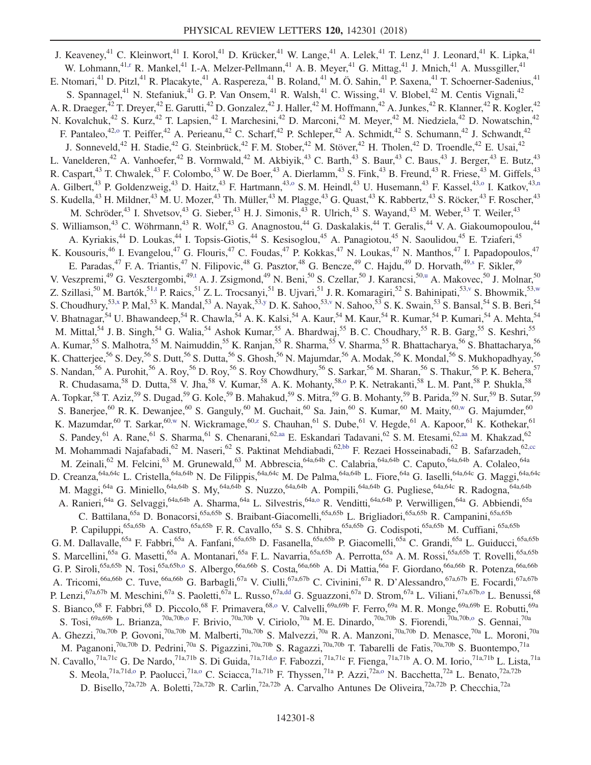<span id="page-7-7"></span><span id="page-7-6"></span><span id="page-7-5"></span><span id="page-7-4"></span><span id="page-7-3"></span><span id="page-7-2"></span><span id="page-7-1"></span><span id="page-7-0"></span>J. Keaveney,<sup>41</sup> C. Kleinwort,<sup>41</sup> I. Korol,<sup>41</sup> D. Krücker,<sup>41</sup> W. Lange,<sup>41</sup> A. Lelek,<sup>41</sup> T. Lenz,<sup>41</sup> J. Leonard,<sup>41</sup> K. Lipka,<sup>41</sup> W. Lohmann,<sup>41[,r](#page-15-15)</sup> R. Mankel,<sup>41</sup> I.-A. Melzer-Pellmann,<sup>41</sup> A. B. Meyer,<sup>41</sup> G. Mittag,<sup>41</sup> J. Mnich,<sup>41</sup> A. Mussgiller,<sup>41</sup> E. Ntomari,<sup>41</sup> D. Pitzl,<sup>41</sup> R. Placakyte,<sup>41</sup> A. Raspereza,<sup>41</sup> B. Roland,<sup>41</sup> M. Ö. Sahin,<sup>41</sup> P. Saxena,<sup>41</sup> T. Schoerner-Sadenius,<sup>41</sup> S. Spannagel,<sup>41</sup> N. Stefaniuk,<sup>41</sup> G. P. Van Onsem,<sup>41</sup> R. Walsh,<sup>41</sup> C. Wissing,<sup>41</sup> V. Blobel,<sup>42</sup> M. Centis Vignali,<sup>42</sup> A. R. Draeger,<sup>42</sup> T. Dreyer,<sup>42</sup> E. Garutti,<sup>42</sup> D. Gonzalez,<sup>42</sup> J. Haller,<sup>42</sup> M. Hoffmann,<sup>42</sup> A. Junkes,<sup>42</sup> R. Klanner,<sup>42</sup> R. Kogler,<sup>42</sup> N. Kovalchuk,<sup>42</sup> S. Kurz,<sup>42</sup> T. Lapsien,<sup>42</sup> I. Marchesini,<sup>42</sup> D. Marconi,<sup>42</sup> M. Meyer,<sup>42</sup> M. Niedziela,<sup>42</sup> D. Nowatschin,<sup>42</sup> F. Pantaleo,<sup>42[,o](#page-15-12)</sup> T. Peiffer,<sup>42</sup> A. Perieanu,<sup>42</sup> C. Scharf,<sup>42</sup> P. Schleper,<sup>42</sup> A. Schmidt,<sup>42</sup> S. Schumann,<sup>42</sup> J. Schwandt,<sup>42</sup> J. Sonneveld,<sup>42</sup> H. Stadie,<sup>42</sup> G. Steinbrück,<sup>42</sup> F.M. Stober,<sup>42</sup> M. Stöver,<sup>42</sup> H. Tholen,<sup>42</sup> D. Troendle,<sup>42</sup> E. Usai,<sup>42</sup> L. Vanelderen,<sup>42</sup> A. Vanhoefer,<sup>42</sup> B. Vormwald,<sup>42</sup> M. Akbiyik,<sup>43</sup> C. Barth,<sup>43</sup> S. Baur,<sup>43</sup> C. Baus,<sup>43</sup> J. Berger,<sup>43</sup> E. Butz,<sup>43</sup> R. Caspart,<sup>43</sup> T. Chwalek,<sup>43</sup> F. Colombo,<sup>43</sup> W. De Boer,<sup>43</sup> A. Dierlamm,<sup>43</sup> S. Fink,<sup>43</sup> B. Freund,<sup>43</sup> R. Friese,<sup>43</sup> M. Giffels,<sup>43</sup> A. Gilbert,<sup>43</sup> P. Goldenzweig,<sup>43</sup> D. Haitz,<sup>43</sup> F. Hartmann,<sup>43,0</sup> S. M. Heindl,<sup>43</sup> U. Husemann,<sup>43</sup> F. Kassel,<sup>43,0</sup> I. Katkov,<sup>43[,n](#page-15-11)</sup> S. Kudella,<sup>43</sup> H. Mildner,<sup>43</sup> M. U. Mozer,<sup>43</sup> Th. Müller,<sup>43</sup> M. Plagge,<sup>43</sup> G. Quast,<sup>43</sup> K. Rabbertz,<sup>43</sup> S. Röcker,<sup>43</sup> F. Roscher,<sup>43</sup> M. Schröder,<sup>43</sup> I. Shvetsov,<sup>43</sup> G. Sieber,<sup>43</sup> H. J. Simonis,<sup>43</sup> R. Ulrich,<sup>43</sup> S. Wayand,<sup>43</sup> M. Weber,<sup>43</sup> T. Weiler,<sup>43</sup> S. Williamson,<sup>43</sup> C. Wöhrmann,<sup>43</sup> R. Wolf,<sup>43</sup> G. Anagnostou,<sup>44</sup> G. Daskalakis,<sup>44</sup> T. Geralis,<sup>44</sup> V. A. Giakoumopoulou,<sup>44</sup> A. Kyriakis,<sup>44</sup> D. Loukas,<sup>44</sup> I. Topsis-Giotis,<sup>44</sup> S. Kesisoglou,<sup>45</sup> A. Panagiotou,<sup>45</sup> N. Saoulidou,<sup>45</sup> E. Tziaferi,<sup>45</sup> K. Kousouris,<sup>46</sup> I. Evangelou,<sup>47</sup> G. Flouris,<sup>47</sup> C. Foudas,<sup>47</sup> P. Kokkas,<sup>47</sup> N. Loukas,<sup>47</sup> N. Manthos,<sup>47</sup> I. Papadopoulos,<sup>47</sup> E. Paradas,<sup>47</sup> F. A. Triantis,<sup>47</sup> N. Filipovic,<sup>48</sup> G. Pasztor,<sup>48</sup> G. Bencze,<sup>49</sup> C. Hajdu,<sup>49</sup> D. Horvath,<sup>4[9,s](#page-15-16)</sup> F. Sikler,<sup>49</sup> V. Veszpremi,<sup>49</sup> G. Vesztergombi,<sup>49[,t](#page-15-17)</sup> A. J. Zsigmond,<sup>49</sup> N. Beni,<sup>50</sup> S. Czellar,<sup>50</sup> J. Karancsi,<sup>5[0,u](#page-15-18)</sup> A. Makovec,<sup>50</sup> J. Molnar,<sup>50</sup> Z. Szillasi,<sup>50</sup> M. Bartók,<sup>5[1,t](#page-15-17)</sup> P. Raics,<sup>51</sup> Z. L. Trocsanyi,<sup>51</sup> B. Ujvari,<sup>51</sup> J. R. Komaragiri,<sup>52</sup> S. Bahinipati,<sup>5[3,v](#page-15-19)</sup> S. Bhowmik,<sup>5[3,w](#page-15-20)</sup> S. Choudhury, <sup>53[,x](#page-15-21)</sup> P. Mal, <sup>53</sup> K. Mandal, <sup>53</sup> A. Nayak, <sup>53[,y](#page-15-22)</sup> D. K. Sahoo, <sup>5[3,v](#page-15-19)</sup> N. Sahoo, <sup>53</sup> S. K. Swain, <sup>53</sup> S. Bansal, <sup>54</sup> S. B. Beri, <sup>54</sup> V. Bhatnagar,<sup>54</sup> U. Bhawandeep,<sup>54</sup> R. Chawla,<sup>54</sup> A. K. Kalsi,<sup>54</sup> A. Kaur,<sup>54</sup> M. Kaur,<sup>54</sup> R. Kumar,<sup>54</sup> P. Kumari,<sup>54</sup> A. Mehta,<sup>54</sup> M. Mittal,<sup>54</sup> J. B. Singh,<sup>54</sup> G. Walia,<sup>54</sup> Ashok Kumar,<sup>55</sup> A. Bhardwaj,<sup>55</sup> B. C. Choudhary,<sup>55</sup> R. B. Garg,<sup>55</sup> S. Keshri,<sup>55</sup> A. Kumar,<sup>55</sup> S. Malhotra,<sup>55</sup> M. Naimuddin,<sup>55</sup> K. Ranjan,<sup>55</sup> R. Sharma,<sup>55</sup> V. Sharma,<sup>55</sup> R. Bhattacharya,<sup>56</sup> S. Bhattacharya,<sup>56</sup> K. Chatterjee,<sup>56</sup> S. Dey,<sup>56</sup> S. Dutt,<sup>56</sup> S. Dutta,<sup>56</sup> S. Ghosh,<sup>56</sup> N. Majumdar,<sup>56</sup> A. Modak,<sup>56</sup> K. Mondal,<sup>56</sup> S. Mukhopadhyay,<sup>56</sup> S. Nandan,<sup>56</sup> A. Purohit,<sup>56</sup> A. Roy,<sup>56</sup> D. Roy,<sup>56</sup> S. Roy Chowdhury,<sup>56</sup> S. Sarkar,<sup>56</sup> M. Sharan,<sup>56</sup> S. Thakur,<sup>56</sup> P. K. Behera,<sup>57</sup> R. Chudasama,<sup>58</sup> D. Dutta,<sup>58</sup> V. Jha,<sup>58</sup> V. Kumar,<sup>58</sup> A. K. Mohanty,<sup>58[,o](#page-15-12)</sup> P. K. Netrakanti,<sup>58</sup> L. M. Pant,<sup>58</sup> P. Shukla,<sup>58</sup> A. Topkar,<sup>58</sup> T. Aziz,<sup>59</sup> S. Dugad,<sup>59</sup> G. Kole,<sup>59</sup> B. Mahakud,<sup>59</sup> S. Mitra,<sup>59</sup> G. B. Mohanty,<sup>59</sup> B. Parida,<sup>59</sup> N. Sur,<sup>59</sup> B. Sutar,<sup>59</sup> S. Banerjee,<sup>60</sup> R. K. Dewanjee,<sup>60</sup> S. Ganguly,<sup>60</sup> M. Guchait,<sup>60</sup> Sa. Jain,<sup>60</sup> S. Kumar,<sup>60</sup> M. Maity,<sup>60[,w](#page-15-20)</sup> G. Majumder,<sup>60</sup> K. Mazumdar, <sup>60</sup> T. Sarkar, <sup>60[,w](#page-15-20)</sup> N. Wickramage, <sup>60[,z](#page-15-23)</sup> S. Chauhan, <sup>61</sup> S. Dube, <sup>61</sup> V. Hegde, <sup>61</sup> A. Kapoor, <sup>61</sup> K. Kothekar, <sup>61</sup> S. Pandey,<sup>61</sup> A. Rane,<sup>61</sup> S. Sharma,<sup>61</sup> S. Chenarani,<sup>6[2,aa](#page-15-24)</sup> E. Eskandari Tadavani,<sup>62</sup> S. M. Etesami,<sup>62[,aa](#page-15-24)</sup> M. Khakzad,<sup>62</sup> M. Mohammadi Najafabadi,<sup>62</sup> M. Naseri,<sup>62</sup> S. Paktinat Mehdiabadi,<sup>6[2,bb](#page-15-25)</sup> F. Rezaei Hosseinabadi,<sup>62</sup> B. Safarzadeh,<sup>6[2,cc](#page-15-26)</sup> M. Zeinali,<sup>62</sup> M. Felcini,<sup>63</sup> M. Grunewald,<sup>63</sup> M. Abbrescia,<sup>64a,64b</sup> C. Calabria,<sup>64a,64b</sup> C. Caputo,<sup>64a,64b</sup> A. Colaleo,<sup>64a</sup> D. Creanza, <sup>64a,64c</sup> L. Cristella, <sup>64a,64b</sup> N. De Filippis, <sup>64a,64c</sup> M. De Palma, <sup>64a,64b</sup> L. Fiore, <sup>64a</sup> G. Iaselli, <sup>64a,64c</sup> G. Maggi, <sup>64a,64c</sup> M. Maggi,<sup>64a</sup> G. Miniello,<sup>64a,64b</sup> S. My,<sup>64a,64b</sup> S. Nuzzo,<sup>64a,64b</sup> A. Pompili,<sup>64a,64b</sup> G. Pugliese,<sup>64a,64c</sup> R. Radogna,<sup>64a,64b</sup> A. Ranieri,<sup>64a</sup> G. Selvaggi,<sup>64a,64b</sup> A. Sharma,<sup>64a</sup> L. Silvestris,<sup>64[a,o](#page-15-12)</sup> R. Venditti,<sup>64a,64b</sup> P. Verwilligen,<sup>64a</sup> G. Abbiendi,<sup>65a</sup> C. Battilana, <sup>65a</sup> D. Bonacorsi, <sup>65a, 65b</sup> S. Braibant-Giacomelli, <sup>65a, 65b</sup> L. Brigliadori, <sup>65a, 65b</sup> R. Campanini, <sup>65a, 65b</sup> P. Capiluppi,<sup>65a,65b</sup> A. Castro,<sup>65a,65b</sup> F. R. Cavallo,<sup>65a</sup> S. S. Chhibra,<sup>65a,65b</sup> G. Codispoti,<sup>65a,65b</sup> M. Cuffiani,<sup>65a,65b</sup> G. M. Dallavalle,<sup>65a</sup> F. Fabbri,<sup>65a</sup> A. Fanfani,<sup>65a,65b</sup> D. Fasanella,<sup>65a,65b</sup> P. Giacomelli,<sup>65a</sup> C. Grandi,<sup>65a</sup> L. Guiducci,<sup>65a,65b</sup> S. Marcellini,<sup>65a</sup> G. Masetti,<sup>65a</sup> A. Montanari,<sup>65a</sup> F.L. Navarria,<sup>65a,65b</sup> A. Perrotta,<sup>65a</sup> A.M. Rossi,<sup>65a,65b</sup> T. Rovelli,<sup>65a,65b</sup> G. P. Siroli,<sup>65a,65b</sup> N. Tosi,<sup>65a,65b[,o](#page-15-12)</sup> S. Albergo,<sup>66a,66b</sup> S. Costa,<sup>66a,66b</sup> A. Di Mattia,<sup>66a</sup> F. Giordano,<sup>66a,66b</sup> R. Potenza,<sup>66a,66b</sup> A. Tricomi,<sup>66a,66b</sup> C. Tuve,<sup>66a,66b</sup> G. Barbagli,<sup>67a</sup> V. Ciulli,<sup>67a,67b</sup> C. Civinini,<sup>67a</sup> R. D'Alessandro,<sup>67a,67b</sup> E. Focardi,<sup>67a,67b</sup> P. Lenzi,<sup>67a,67b</sup> M. Meschini,<sup>67a</sup> S. Paoletti,<sup>67a</sup> L. Russo,<sup>67a[,dd](#page-15-27)</sup> G. Sguazzoni,<sup>67a</sup> D. Strom,<sup>67a</sup> L. Viliani,<sup>67a,67b[,o](#page-15-12)</sup> L. Benussi,<sup>68</sup> S. Bianco,<sup>68</sup> F. Fabbri,<sup>68</sup> D. Piccolo,<sup>68</sup> F. Primavera,<sup>68,0</sup> V. Calvelli,<sup>69a,69b</sup> F. Ferro,<sup>69a</sup> M. R. Monge,<sup>69a,69b</sup> E. Robutti,<sup>69a</sup> S. Tosi,<sup>69a,69b</sup> L. Brianza,<sup>70a,70[b,o](#page-15-12)</sup> F. Brivio,<sup>70a,70b</sup> V. Ciriolo,<sup>70a</sup> M. E. Dinardo,<sup>70a,70b</sup> S. Fiorendi,<sup>70a,70b,o</sup> S. Gennai,<sup>70a</sup> A. Ghezzi,<sup>70a,70b</sup> P. Govoni,<sup>70a,70b</sup> M. Malberti,<sup>70a,70b</sup> S. Malvezzi,<sup>70a</sup> R. A. Manzoni,<sup>70a,70b</sup> D. Menasce,<sup>70a</sup> L. Moroni,<sup>70a</sup> M. Paganoni,<sup>70a,70b</sup> D. Pedrini,<sup>70a</sup> S. Pigazzini,<sup>70a,70b</sup> S. Ragazzi,<sup>70a,70b</sup> T. Tabarelli de Fatis,<sup>70a,70b</sup> S. Buontempo,<sup>71a</sup> N. Cavallo,<sup>71a,71c</sup> G. De Nardo,<sup>71a,71b</sup> S. Di Guida,<sup>71a,71d[,o](#page-15-12)</sup> F. Fabozzi,<sup>71a,71c</sup> F. Fienga,<sup>71a,71b</sup> A. O. M. Iorio,<sup>71a,71b</sup> L. Lista,<sup>71a</sup> S. Meola,<sup>71a,71d[,o](#page-15-12)</sup> P. Paolucci,<sup>71[a,o](#page-15-12)</sup> C. Sciacca,<sup>71a,71b</sup> F. Thyssen,<sup>71a</sup> P. Azzi,<sup>72a,o</sup> N. Bacchetta,<sup>72a</sup> L. Benato,<sup>72a,72b</sup> D. Bisello,<sup>72a,72b</sup> A. Boletti,<sup>72a,72b</sup> R. Carlin,<sup>72a,72b</sup> A. Carvalho Antunes De Oliveira,<sup>72a,72b</sup> P. Checchia,<sup>72a</sup>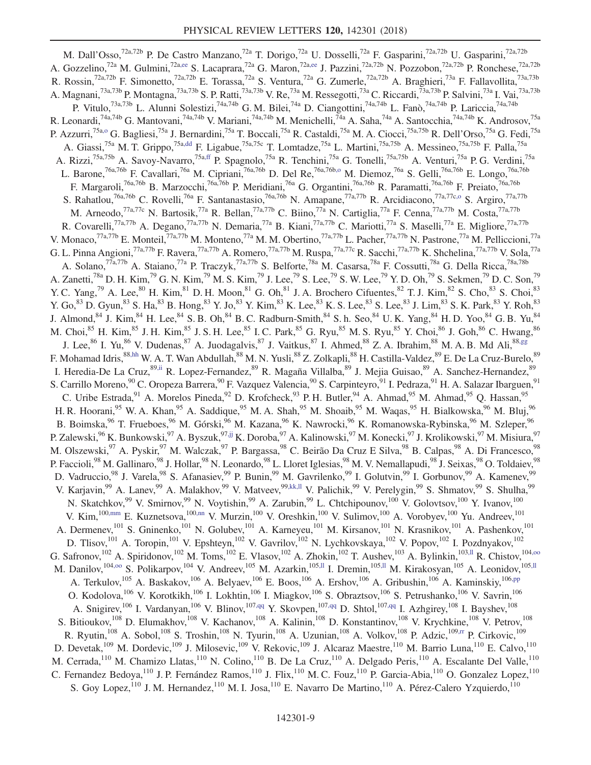<span id="page-8-11"></span><span id="page-8-10"></span><span id="page-8-9"></span><span id="page-8-8"></span><span id="page-8-7"></span><span id="page-8-6"></span><span id="page-8-5"></span><span id="page-8-4"></span><span id="page-8-3"></span><span id="page-8-2"></span><span id="page-8-1"></span><span id="page-8-0"></span>M. Dall'Osso,<sup>72a,72b</sup> P. De Castro Manzano,<sup>72a</sup> T. Dorigo,<sup>72a</sup> U. Dosselli,<sup>72a</sup> F. Gasparini,<sup>72a,72b</sup> U. Gasparini,<sup>72a,72b</sup> A. Gozzelino,<sup>72a</sup> M. Gulmini,<sup>72a[,ee](#page-15-28)</sup> S. Lacaprara,<sup>72a</sup> G. Maron,<sup>72a,ee</sup> J. Pazzini,<sup>72a,72b</sup> N. Pozzobon,<sup>72a,72b</sup> P. Ronchese,<sup>72a,72b</sup> R. Rossin,<sup>72a,72b</sup> F. Simonetto,<sup>72a,72b</sup> E. Torassa,<sup>72a</sup> S. Ventura,<sup>72a</sup> G. Zumerle,<sup>72a,72b</sup> A. Braghieri,<sup>73a</sup> F. Fallavollita,<sup>73a,73b</sup> A. Magnani,<sup>73a,73b</sup> P. Montagna,<sup>73a,73b</sup> S. P. Ratti,<sup>73a,73b</sup> V. Re,<sup>73a</sup> M. Ressegotti,<sup>73a</sup> C. Riccardi,<sup>73a,73b</sup> P. Salvini,<sup>73a</sup> I. Vai,<sup>73a,73b</sup> P. Vitulo,<sup>73a,73b</sup> L. Alunni Solestizi,<sup>74a,74b</sup> G. M. Bilei,<sup>74a</sup> D. Ciangottini,<sup>74a,74b</sup> L. Fanò,<sup>74a,74b</sup> P. Lariccia,<sup>74a,74b</sup> R. Leonardi,<sup>74a,74b</sup> G. Mantovani,<sup>74a,74b</sup> V. Mariani,<sup>74a,74b</sup> M. Menichelli,<sup>74a</sup> A. Saha,<sup>74a</sup> A. Santocchia,<sup>74a,74b</sup> K. Androsov,<sup>75a</sup> P. Azzurri,<sup>75[a,o](#page-15-12)</sup> G. Bagliesi,<sup>75a</sup> J. Bernardini,<sup>75a</sup> T. Boccali,<sup>75a</sup> R. Castaldi,<sup>75a</sup> M. A. Ciocci,<sup>75a,75b</sup> R. Dell'Orso,<sup>75a</sup> G. Fedi,<sup>75a</sup> A. Giassi,<sup>75a</sup> M. T. Grippo,<sup>75[a,dd](#page-15-27)</sup> F. Ligabue,<sup>75a,75c</sup> T. Lomtadze,<sup>75a</sup> L. Martini,<sup>75a,75b</sup> A. Messineo,<sup>75a,75b</sup> F. Palla,<sup>75a</sup> A. Rizzi,<sup>75a,75b</sup> A. Savoy-Navarro,<sup>75[a,ff](#page-15-29)</sup> P. Spagnolo,<sup>75a</sup> R. Tenchini,<sup>75a</sup> G. Tonelli,<sup>75a,75b</sup> A. Venturi,<sup>75a</sup> P. G. Verdini,<sup>75a</sup> L. Barone,<sup>76a,76b</sup> F. Cavallari,<sup>76a</sup> M. Cipriani,<sup>76a,76b</sup> D. Del Re,<sup>76a,76b[,o](#page-15-12)</sup> M. Diemoz,<sup>76a</sup> S. Gelli,<sup>76a,76b</sup> E. Longo,<sup>76a,76b</sup> F. Margaroli,<sup>76a,76b</sup> B. Marzocchi,<sup>76a,76b</sup> P. Meridiani,<sup>76a</sup> G. Organtini,<sup>76a,76b</sup> R. Paramatti,<sup>76a,76b</sup> F. Preiato,<sup>76a,76b</sup> S. Rahatlou,<sup>76a,76b</sup> C. Rovelli,<sup>76a</sup> F. Santanastasio,<sup>76a,76b</sup> N. Amapane,<sup>77a,77b</sup> R. Arcidiacono,<sup>77a,77c[,o](#page-15-12)</sup> S. Argiro,<sup>77a,77b</sup> M. Arneodo,<sup>77a,77c</sup> N. Bartosik,<sup>77a</sup> R. Bellan,<sup>77a,77b</sup> C. Biino,<sup>77a</sup> N. Cartiglia,<sup>77a</sup> F. Cenna,<sup>77a,77b</sup> M. Costa,<sup>77a,77b</sup> R. Covarelli,<sup>77a,77b</sup> A. Degano,<sup>77a,77b</sup> N. Demaria,<sup>77a</sup> B. Kiani,<sup>77a,77b</sup> C. Mariotti,<sup>77a</sup> S. Maselli,<sup>77a</sup> E. Migliore,<sup>77a,77b</sup> V. Monaco,<sup>77a,77b</sup> E. Monteil,<sup>77a,77b</sup> M. Monteno,<sup>77a</sup> M. M. Obertino,<sup>77a,77b</sup> L. Pacher,<sup>77a,77b</sup> N. Pastrone,<sup>77a</sup> M. Pelliccioni,<sup>77a</sup> G. L. Pinna Angioni,<sup>77a,77b</sup> F. Ravera,<sup>77a,77b</sup> A. Romero,<sup>77a,77b</sup> M. Ruspa,<sup>77a,77c</sup> R. Sacchi,<sup>77a,77b</sup> K. Shchelina,<sup>77a,77b</sup> V. Sola,<sup>77a</sup> A. Solano,<sup>77a,77b</sup> A. Staiano,<sup>77a</sup> P. Traczyk,<sup>77a,77b</sup> S. Belforte,<sup>78a</sup> M. Casarsa,<sup>78a</sup> F. Cossutti,<sup>78a</sup> G. Della Ricca,<sup>78a,78b</sup> A. Zanetti,<sup>78a</sup> D. H. Kim,<sup>79</sup> G. N. Kim,<sup>79</sup> M. S. Kim,<sup>79</sup> J. Lee,<sup>79</sup> S. Lee,<sup>79</sup> S. W. Lee,<sup>79</sup> Y. D. Oh,<sup>79</sup> S. Sekmen,<sup>79</sup> D. C. Son,<sup>79</sup> Y. C. Yang,<sup>79</sup> A. Lee,<sup>80</sup> H. Kim,<sup>81</sup> D. H. Moon,<sup>81</sup> G. Oh,<sup>81</sup> J. A. Brochero Cifuentes,<sup>82</sup> T. J. Kim,<sup>82</sup> S. Cho,<sup>83</sup> S. Choi,<sup>83</sup> Y. Go,<sup>83</sup> D. Gyun,<sup>83</sup> S. Ha,<sup>83</sup> B. Hong,<sup>83</sup> Y. Jo,<sup>83</sup> Y. Kim,<sup>83</sup> K. Lee,<sup>83</sup> K. S. Lee,<sup>83</sup> S. Lee,<sup>83</sup> J. Lim,<sup>83</sup> S. K. Park,<sup>83</sup> Y. Roh,<sup>83</sup> J. Almond, $^{84}$  J. Kim, $^{84}$  H. Lee, $^{84}$  S. B. Oh, $^{84}$  B. C. Radburn-Smith, $^{84}$  S. h. Seo, $^{84}$  U. K. Yang, $^{84}$  H. D. Yoo, $^{84}$  G. B. Yu, $^{84}$ M. Choi,<sup>85</sup> H. Kim,<sup>85</sup> J. H. Kim,<sup>85</sup> J. S. H. Lee,<sup>85</sup> I. C. Park,<sup>85</sup> G. Ryu,<sup>85</sup> M. S. Ryu,<sup>85</sup> Y. Choi,<sup>86</sup> J. Goh,<sup>86</sup> C. Hwang,<sup>86</sup> J. Lee,<sup>86</sup> I. Yu,<sup>86</sup> V. Dudenas,<sup>87</sup> A. Juodagalvis,<sup>87</sup> J. Vaitkus,<sup>87</sup> I. Ahmed,<sup>88</sup> Z. A. Ibrahim,<sup>88</sup> M. A. B. Md Ali,<sup>8[8,gg](#page-15-30)</sup> F. Mohamad Idris,<sup>88[,hh](#page-15-31)</sup> W. A. T. Wan Abdullah,<sup>88</sup> M. N. Yusli,<sup>88</sup> Z. Zolkapli,<sup>88</sup> H. Castilla-Valdez,<sup>89</sup> E. De La Cruz-Burelo,<sup>89</sup> I. Heredia-De La Cruz, <sup>89[,ii](#page-15-32)</sup> R. Lopez-Fernandez, <sup>89</sup> R. Magaña Villalba, <sup>89</sup> J. Mejia Guisao, <sup>89</sup> A. Sanchez-Hernandez, <sup>89</sup> S. Carrillo Moreno, <sup>90</sup> C. Oropeza Barrera, <sup>90</sup> F. Vazquez Valencia, <sup>90</sup> S. Carpinteyro, <sup>91</sup> I. Pedraza, <sup>91</sup> H. A. Salazar Ibarguen, <sup>91</sup> C. Uribe Estrada, <sup>91</sup> A. Morelos Pineda, <sup>92</sup> D. Krofcheck, <sup>93</sup> P. H. Butler, <sup>94</sup> A. Ahmad, <sup>95</sup> M. Ahmad, <sup>95</sup> Q. Hassan, <sup>95</sup> H. R. Hoorani,<sup>95</sup> W. A. Khan,<sup>95</sup> A. Saddique,<sup>95</sup> M. A. Shah,<sup>95</sup> M. Shoaib,<sup>95</sup> M. Waqas,<sup>95</sup> H. Bialkowska,<sup>96</sup> M. Bluj,<sup>96</sup> B. Boimska,<sup>96</sup> T. Frueboes,<sup>96</sup> M. Górski,<sup>96</sup> M. Kazana,<sup>96</sup> K. Nawrocki,<sup>96</sup> K. Romanowska-Rybinska,<sup>96</sup> M. Szleper,<sup>96</sup> P. Zalewski, <sup>96</sup> K. Bunkowski, <sup>97</sup> A. Byszuk, <sup>97[,jj](#page-15-33)</sup> K. Doroba, <sup>97</sup> A. Kalinowski, <sup>97</sup> M. Konecki, <sup>97</sup> J. Krolikowski, <sup>97</sup> M. Misiura, <sup>97</sup> M. Olszewski, <sup>97</sup> A. Pyskir, <sup>97</sup> M. Walczak, <sup>97</sup> P. Bargassa, <sup>98</sup> C. Beirão Da Cruz E Silva, <sup>98</sup> B. Calpas, <sup>98</sup> A. Di Francesco, <sup>98</sup> P. Faccioli,<sup>98</sup> M. Gallinaro,<sup>98</sup> J. Hollar,<sup>98</sup> N. Leonardo,<sup>98</sup> L. Lloret Iglesias,<sup>98</sup> M. V. Nemallapudi,<sup>98</sup> J. Seixas,<sup>98</sup> O. Toldaiev,<sup>98</sup> D. Vadruccio,<sup>98</sup> J. Varela,<sup>98</sup> S. Afanasiev,<sup>99</sup> P. Bunin,<sup>99</sup> M. Gavrilenko,<sup>99</sup> I. Golutvin,<sup>99</sup> I. Gorbunov,<sup>99</sup> A. Kamenev,<sup>99</sup> V. Karjavin,<sup>99</sup> A. Lanev,<sup>99</sup> A. Malakhov,<sup>99</sup> V. Matveev,<sup>9[9,kk,ll](#page-15-34)</sup> V. Palichik,<sup>99</sup> V. Perelygin,<sup>99</sup> S. Shmatov,<sup>99</sup> S. Shulha,<sup>99</sup> N. Skatchkov,<sup>99</sup> V. Smirnov,<sup>99</sup> N. Voytishin,<sup>99</sup> A. Zarubin,<sup>99</sup> L. Chtchipounov,<sup>100</sup> V. Golovtsov,<sup>100</sup> Y. Ivanov,<sup>100</sup> V. Kim,<sup>10[0,mm](#page-15-35)</sup> E. Kuznetsova,<sup>10[0,nn](#page-15-36)</sup> V. Murzin,<sup>100</sup> V. Oreshkin,<sup>100</sup> V. Sulimov,<sup>100</sup> A. Vorobyev,<sup>100</sup> Yu. Andreev,<sup>101</sup> A. Dermenev,<sup>101</sup> S. Gninenko,<sup>101</sup> N. Golubev,<sup>101</sup> A. Karneyeu,<sup>101</sup> M. Kirsanov,<sup>101</sup> N. Krasnikov,<sup>101</sup> A. Pashenkov,<sup>101</sup> D. Tlisov,<sup>101</sup> A. Toropin,<sup>101</sup> V. Epshteyn,<sup>102</sup> V. Gavrilov,<sup>102</sup> N. Lychkovskaya,<sup>102</sup> V. Popov,<sup>102</sup> I. Pozdnyakov,<sup>102</sup> G. Safronov,<sup>102</sup> A. Spiridonov,<sup>102</sup> M. Toms,<sup>102</sup> E. Vlasov,<sup>102</sup> A. Zhokin,<sup>102</sup> T. Aushev,<sup>103</sup> A. Bylinkin,<sup>103,11</sup> R. Chistov,<sup>104,00</sup> M. Danilov,<sup>104[,oo](#page-15-38)</sup> S. Polikarpov,<sup>104</sup> V. Andreev,<sup>105</sup> M. Azarkin,<sup>105[,ll](#page-15-37)</sup> I. Dremin,<sup>10[5,ll](#page-15-37)</sup> M. Kirakosyan,<sup>105</sup> A. Leonidov,<sup>105,ll</sup> A. Terkulov,<sup>105</sup> A. Baskakov,<sup>106</sup> A. Belyaev,<sup>106</sup> E. Boos,<sup>106</sup> A. Ershov,<sup>106</sup> A. Gribushin,<sup>106</sup> A. Kaminskiy,<sup>10[6,pp](#page-15-39)</sup> O. Kodolova,<sup>106</sup> V. Korotkikh,<sup>106</sup> I. Lokhtin,<sup>106</sup> I. Miagkov,<sup>106</sup> S. Obraztsov,<sup>106</sup> S. Petrushanko,<sup>106</sup> V. Savrin,<sup>106</sup> A. Snigirev,<sup>106</sup> I. Vardanyan,<sup>106</sup> V. Blinov,<sup>10[7,qq](#page-16-0)</sup> Y. Skovpen,<sup>107[,qq](#page-16-0)</sup> D. Shtol,<sup>107,qq</sup> I. Azhgirey,<sup>108</sup> I. Bayshev,<sup>108</sup> S. Bitioukov,<sup>108</sup> D. Elumakhov,<sup>108</sup> V. Kachanov,<sup>108</sup> A. Kalinin,<sup>108</sup> D. Konstantinov,<sup>108</sup> V. Krychkine,<sup>108</sup> V. Petrov,<sup>108</sup> R. Ryutin,<sup>108</sup> A. Sobol,<sup>108</sup> S. Troshin,<sup>108</sup> N. Tyurin,<sup>108</sup> A. Uzunian,<sup>108</sup> A. Volkov,<sup>108</sup> P. Adzic,<sup>109[,rr](#page-16-1)</sup> P. Cirkovic,<sup>109</sup> D. Devetak,<sup>109</sup> M. Dordevic,<sup>109</sup> J. Milosevic,<sup>109</sup> V. Rekovic,<sup>109</sup> J. Alcaraz Maestre,<sup>110</sup> M. Barrio Luna,<sup>110</sup> E. Calvo,<sup>110</sup> M. Cerrada,<sup>110</sup> M. Chamizo Llatas,<sup>110</sup> N. Colino,<sup>110</sup> B. De La Cruz,<sup>110</sup> A. Delgado Peris,<sup>110</sup> A. Escalante Del Valle,<sup>110</sup> C. Fernandez Bedoya,<sup>110</sup> J. P. Fernández Ramos,<sup>110</sup> J. Flix,<sup>110</sup> M. C. Fouz,<sup>110</sup> P. Garcia-Abia,<sup>110</sup> O. Gonzalez Lopez,<sup>110</sup> S. Goy Lopez,<sup>110</sup> J. M. Hernandez,<sup>110</sup> M. I. Josa,<sup>110</sup> E. Navarro De Martino,<sup>110</sup> A. Pérez-Calero Yzquierdo,<sup>110</sup>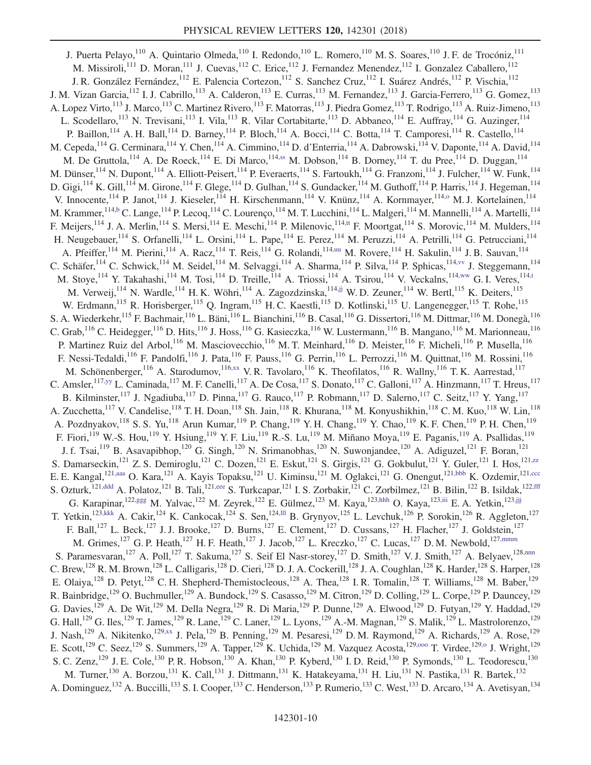<span id="page-9-14"></span><span id="page-9-13"></span><span id="page-9-12"></span><span id="page-9-11"></span><span id="page-9-10"></span><span id="page-9-9"></span><span id="page-9-8"></span><span id="page-9-7"></span><span id="page-9-6"></span><span id="page-9-5"></span><span id="page-9-4"></span><span id="page-9-3"></span><span id="page-9-2"></span><span id="page-9-1"></span><span id="page-9-0"></span>J. Puerta Pelayo,<sup>110</sup> A. Quintario Olmeda,<sup>110</sup> I. Redondo,<sup>110</sup> L. Romero,<sup>110</sup> M. S. Soares,<sup>110</sup> J. F. de Trocóniz,<sup>111</sup> M. Missiroli,<sup>111</sup> D. Moran,<sup>111</sup> J. Cuevas,<sup>112</sup> C. Erice,<sup>112</sup> J. Fernandez Menendez,<sup>112</sup> I. Gonzalez Caballero,<sup>112</sup> J. R. González Fernández, <sup>112</sup> E. Palencia Cortezon, <sup>112</sup> S. Sanchez Cruz, <sup>112</sup> I. Suárez Andrés, <sup>112</sup> P. Vischia, <sup>112</sup> J. M. Vizan Garcia, <sup>112</sup> I. J. Cabrillo, <sup>113</sup> A. Calderon, <sup>113</sup> E. Curras, <sup>113</sup> M. Fernandez, <sup>113</sup> J. Garcia-Ferrero, <sup>113</sup> G. Gomez, <sup>113</sup> A. Lopez Virto,<sup>113</sup> J. Marco,<sup>113</sup> C. Martinez Rivero,<sup>113</sup> F. Matorras,<sup>113</sup> J. Piedra Gomez,<sup>113</sup> T. Rodrigo,<sup>113</sup> A. Ruiz-Jimeno,<sup>113</sup> L. Scodellaro,<sup>113</sup> N. Trevisani,<sup>113</sup> I. Vila,<sup>113</sup> R. Vilar Cortabitarte,<sup>113</sup> D. Abbaneo,<sup>114</sup> E. Auffray,<sup>114</sup> G. Auzinger,<sup>114</sup> P. Baillon,<sup>114</sup> A. H. Ball,<sup>114</sup> D. Barney,<sup>114</sup> P. Bloch,<sup>114</sup> A. Bocci,<sup>114</sup> C. Botta,<sup>114</sup> T. Camporesi,<sup>114</sup> R. Castello,<sup>114</sup> M. Cepeda,<sup>114</sup> G. Cerminara,<sup>114</sup> Y. Chen,<sup>114</sup> A. Cimmino,<sup>114</sup> D. d'Enterria,<sup>114</sup> A. Dabrowski,<sup>114</sup> V. Daponte,<sup>114</sup> A. David,<sup>114</sup> M. De Gruttola, <sup>114</sup> A. De Roeck, <sup>114</sup> E. Di Marco, <sup>114[,ss](#page-16-2)</sup> M. Dobson, <sup>114</sup> B. Dorney, <sup>114</sup> T. du Pree, <sup>114</sup> D. Duggan, <sup>114</sup> M. Dünser,<sup>114</sup> N. Dupont,<sup>114</sup> A. Elliott-Peisert,<sup>114</sup> P. Everaerts,<sup>114</sup> S. Fartoukh,<sup>114</sup> G. Franzoni,<sup>114</sup> J. Fulcher,<sup>114</sup> W. Funk,<sup>114</sup> D. Gigi,  $^{114}$  K. Gill,  $^{114}$  M. Girone,  $^{114}$  F. Glege,  $^{114}$  D. Gulhan,  $^{114}$  S. Gundacker,  $^{114}$  M. Guthoff,  $^{114}$  P. Harris,  $^{114}$  J. Hegeman,  $^{114}$ V. Innocente, <sup>114</sup> P. Janot, <sup>114</sup> J. Kieseler, <sup>114</sup> H. Kirschenmann, <sup>114</sup> V. Knünz, <sup>114</sup> A. Kornmayer, <sup>114,0</sup> M. J. Kortelainen, <sup>114</sup> M. Krammer, <sup>114[,b](#page-15-0)</sup> C. Lange, <sup>114</sup> P. Lecoq, <sup>114</sup> C. Lourenço, <sup>114</sup> M. T. Lucchini, <sup>114</sup> L. Malgeri, <sup>114</sup> M. Mannelli, <sup>114</sup> A. Martelli, <sup>114</sup> F. Meijers,<sup>114</sup> J. A. Merlin,<sup>114</sup> S. Mersi,<sup>114</sup> E. Meschi,<sup>114</sup> P. Milenovic,<sup>11[4,tt](#page-16-3)</sup> F. Moortgat,<sup>114</sup> S. Morovic,<sup>114</sup> M. Mulders,<sup>114</sup> H. Neugebauer, <sup>114</sup> S. Orfanelli, <sup>114</sup> L. Orsini, <sup>114</sup> L. Pape, <sup>114</sup> E. Perez, <sup>114</sup> M. Peruzzi, <sup>114</sup> A. Petrilli, <sup>114</sup> G. Petrucciani, <sup>114</sup> A. Pfeiffer, <sup>114</sup> M. Pierini, <sup>114</sup> A. Racz, <sup>114</sup> T. Reis, <sup>114</sup> G. Rolandi, <sup>114, uu</sup> M. Rovere, <sup>114</sup> H. Sakulin, <sup>114</sup> J. B. Sauvan, <sup>114</sup> C. Schäfer,<sup>114</sup> C. Schwick,<sup>114</sup> M. Seidel,<sup>114</sup> M. Selvaggi,<sup>114</sup> A. Sharma,<sup>114</sup> P. Silva,<sup>114</sup> P. Sphicas,<sup>114[,vv](#page-16-5)</sup> J. Steggemann,<sup>114</sup> M. Stoye, <sup>114</sup> Y. Takahashi, <sup>114</sup> M. Tosi, <sup>114</sup> D. Treille, <sup>114</sup> A. Triossi, <sup>114</sup> A. Tsirou, <sup>114</sup> V. Veckalns, <sup>11[4,ww](#page-16-6)</sup> G. I. Veres, <sup>114[,t](#page-15-17)</sup> M. Verweij, <sup>114</sup> N. Wardle, <sup>114</sup> H. K. Wöhri, <sup>114</sup> A. Zagozdzinska, <sup>114[,jj](#page-15-33)</sup> W. D. Zeuner, <sup>114</sup> W. Bertl, <sup>115</sup> K. Deiters, <sup>115</sup> W. Erdmann,<sup>115</sup> R. Horisberger,<sup>115</sup> Q. Ingram,<sup>115</sup> H. C. Kaestli,<sup>115</sup> D. Kotlinski,<sup>115</sup> U. Langenegger,<sup>115</sup> T. Rohe,<sup>115</sup> S. A. Wiederkehr, <sup>115</sup> F. Bachmair, <sup>116</sup> L. Bäni, <sup>116</sup> L. Bianchini, <sup>116</sup> B. Casal, <sup>116</sup> G. Dissertori, <sup>116</sup> M. Dittmar, <sup>116</sup> M. Donegà, <sup>116</sup> C. Grab,  $^{116}$  C. Heidegger,  $^{116}$  D. Hits,  $^{116}$  J. Hoss,  $^{116}$  G. Kasieczka,  $^{116}$  W. Lustermann,  $^{116}$  B. Mangano,  $^{116}$  M. Marionneau,  $^{116}$ P. Martinez Ruiz del Arbol,<sup>116</sup> M. Masciovecchio,<sup>116</sup> M. T. Meinhard,<sup>116</sup> D. Meister,<sup>116</sup> F. Micheli,<sup>116</sup> P. Musella,<sup>116</sup> F. Nessi-Tedaldi,<sup>116</sup> F. Pandolfi,<sup>116</sup> J. Pata,<sup>116</sup> F. Pauss,<sup>116</sup> G. Perrin,<sup>116</sup> L. Perrozzi,<sup>116</sup> M. Quittnat,<sup>116</sup> M. Rossini,<sup>116</sup> M. Schönenberger,<sup>116</sup> A. Starodumov,<sup>11[6,xx](#page-16-7)</sup> V. R. Tavolaro,<sup>116</sup> K. Theofilatos,<sup>116</sup> R. Wallny,<sup>116</sup> T. K. Aarrestad,<sup>117</sup> C. Amsler,<sup>117[,yy](#page-16-8)</sup> L. Caminada,<sup>117</sup> M. F. Canelli,<sup>117</sup> A. De Cosa,<sup>117</sup> S. Donato,<sup>117</sup> C. Galloni,<sup>117</sup> A. Hinzmann,<sup>117</sup> T. Hreus,<sup>117</sup> B. Kilminster,<sup>117</sup> J. Ngadiuba,<sup>117</sup> D. Pinna,<sup>117</sup> G. Rauco,<sup>117</sup> P. Robmann,<sup>117</sup> D. Salerno,<sup>117</sup> C. Seitz,<sup>117</sup> Y. Yang,<sup>117</sup> A. Zucchetta,<sup>117</sup> V. Candelise,<sup>118</sup> T. H. Doan,<sup>118</sup> Sh. Jain,<sup>118</sup> R. Khurana,<sup>118</sup> M. Konyushikhin,<sup>118</sup> C. M. Kuo,<sup>118</sup> W. Lin,<sup>118</sup> A. Pozdnyakov,  $^{118}$  S. S. Yu,  $^{118}$  Arun Kumar,  $^{119}$  P. Chang,  $^{119}$  Y. H. Chang,  $^{119}$  Y. Chao,  $^{119}$  K. F. Chen,  $^{119}$  P. H. Chen,  $^{119}$ F. Fiori,<sup>119</sup> W.-S. Hou,<sup>119</sup> Y. Hsiung,<sup>119</sup> Y. F. Liu,<sup>119</sup> R.-S. Lu,<sup>119</sup> M. Miñano Moya,<sup>119</sup> E. Paganis,<sup>119</sup> A. Psallidas,<sup>119</sup> J. f. Tsai,<sup>119</sup> B. Asavapibhop,<sup>120</sup> G. Singh,<sup>120</sup> N. Srimanobhas,<sup>120</sup> N. Suwonjandee,<sup>120</sup> A. Adiguzel,<sup>121</sup> F. Boran,<sup>121</sup> S. Damarseckin,<sup>121</sup> Z. S. Demiroglu,<sup>121</sup> C. Dozen,<sup>121</sup> E. Eskut,<sup>121</sup> S. Girgis,<sup>121</sup> G. Gokbulut,<sup>121</sup> Y. Guler,<sup>121</sup> I. Hos,<sup>12[1,zz](#page-16-9)</sup> E. E. Kangal,<sup>121[,aaa](#page-16-10)</sup> O. Kara,<sup>121</sup> A. Kayis Topaksu,<sup>121</sup> U. Kiminsu,<sup>121</sup> M. Oglakci,<sup>121</sup> G. Onengut,<sup>12[1,bbb](#page-16-11)</sup> K. Ozdemir,<sup>121[,ccc](#page-16-12)</sup> S. Ozturk,<sup>12[1,ddd](#page-16-13)</sup> A. Polatoz,<sup>121</sup> B. Tali,<sup>12[1,eee](#page-16-14)</sup> S. Turkcapar,<sup>121</sup> I. S. Zorbakir,<sup>121</sup> C. Zorbilmez,<sup>121</sup> B. Bilin,<sup>122</sup> B. Isildak,<sup>122[,fff](#page-16-15)</sup> G. Karapinar, <sup>122[,ggg](#page-16-16)</sup> M. Yalvac, <sup>122</sup> M. Zeyrek, <sup>122</sup> E. Gülmez, <sup>123</sup> M. Kaya, <sup>12[3,hhh](#page-16-17)</sup> O. Kaya, <sup>12[3,iii](#page-16-18)</sup> E. A. Yetkin, <sup>123,ijj</sup> T. Yetkin,<sup>123[,kkk](#page-16-20)</sup> A. Cakir,<sup>124</sup> K. Cankocak,<sup>124</sup> S. Sen,<sup>124[,lll](#page-16-21)</sup> B. Grynyov,<sup>125</sup> L. Levchuk,<sup>126</sup> P. Sorokin,<sup>126</sup> R. Aggleton,<sup>127</sup> F. Ball,<sup>127</sup> L. Beck,<sup>127</sup> J. J. Brooke,<sup>127</sup> D. Burns,<sup>127</sup> E. Clement,<sup>127</sup> D. Cussans,<sup>127</sup> H. Flacher,<sup>127</sup> J. Goldstein,<sup>127</sup> M. Grimes,<sup>127</sup> G. P. Heath,<sup>127</sup> H. F. Heath,<sup>127</sup> J. Jacob,<sup>127</sup> L. Kreczko,<sup>127</sup> C. Lucas,<sup>127</sup> D. M. Newbold,<sup>12[7,mmm](#page-16-22)</sup> S. Paramesvaran,<sup>127</sup> A. Poll,<sup>127</sup> T. Sakuma,<sup>127</sup> S. Seif El Nasr-storey,<sup>127</sup> D. Smith,<sup>127</sup> V. J. Smith,<sup>127</sup> A. Belyaev,<sup>12[8,nnn](#page-16-23)</sup> C. Brew,<sup>128</sup> R. M. Brown,<sup>128</sup> L. Calligaris,<sup>128</sup> D. Cieri,<sup>128</sup> D. J. A. Cockerill,<sup>128</sup> J. A. Coughlan,<sup>128</sup> K. Harder,<sup>128</sup> S. Harper,<sup>128</sup> E. Olaiya, <sup>128</sup> D. Petyt, <sup>128</sup> C. H. Shepherd-Themistocleous, <sup>128</sup> A. Thea, <sup>128</sup> I. R. Tomalin, <sup>128</sup> T. Williams, <sup>128</sup> M. Baber, <sup>129</sup> R. Bainbridge,<sup>129</sup> O. Buchmuller,<sup>129</sup> A. Bundock,<sup>129</sup> S. Casasso,<sup>129</sup> M. Citron,<sup>129</sup> D. Colling,<sup>129</sup> L. Corpe,<sup>129</sup> P. Dauncey,<sup>129</sup> G. Davies,<sup>129</sup> A. De Wit,<sup>129</sup> M. Della Negra,<sup>129</sup> R. Di Maria,<sup>129</sup> P. Dunne,<sup>129</sup> A. Elwood,<sup>129</sup> D. Futyan,<sup>129</sup> Y. Haddad,<sup>129</sup> G. Hall,<sup>129</sup> G. Iles,<sup>129</sup> T. James,<sup>129</sup> R. Lane,<sup>129</sup> C. Laner,<sup>129</sup> L. Lyons,<sup>129</sup> A.-M. Magnan,<sup>129</sup> S. Malik,<sup>129</sup> L. Mastrolorenzo,<sup>129</sup> J. Nash,<sup>129</sup> A. Nikitenko,<sup>12[9,xx](#page-16-7)</sup> J. Pela,<sup>129</sup> B. Penning,<sup>129</sup> M. Pesaresi,<sup>129</sup> D. M. Raymond,<sup>129</sup> A. Richards,<sup>129</sup> A. Rose,<sup>129</sup> E. Scott,<sup>129</sup> C. Seez,<sup>129</sup> S. Summers,<sup>129</sup> A. Tapper,<sup>129</sup> K. Uchida,<sup>129</sup> M. Vazquez Acosta,<sup>129,000</sup> T. Virdee,<sup>129,0</sup> J. Wright,<sup>129</sup> S. C. Zenz,<sup>129</sup> J. E. Cole,<sup>130</sup> P. R. Hobson,<sup>130</sup> A. Khan,<sup>130</sup> P. Kyberd,<sup>130</sup> I. D. Reid,<sup>130</sup> P. Symonds,<sup>130</sup> L. Teodorescu,<sup>130</sup> M. Turner,<sup>130</sup> A. Borzou,<sup>131</sup> K. Call,<sup>131</sup> J. Dittmann,<sup>131</sup> K. Hatakeyama,<sup>131</sup> H. Liu,<sup>131</sup> N. Pastika,<sup>131</sup> R. Bartek,<sup>132</sup> A. Dominguez,<sup>132</sup> A. Buccilli,<sup>133</sup> S. I. Cooper,<sup>133</sup> C. Henderson,<sup>133</sup> P. Rumerio,<sup>133</sup> C. West,<sup>133</sup> D. Arcaro,<sup>134</sup> A. Avetisyan,<sup>134</sup>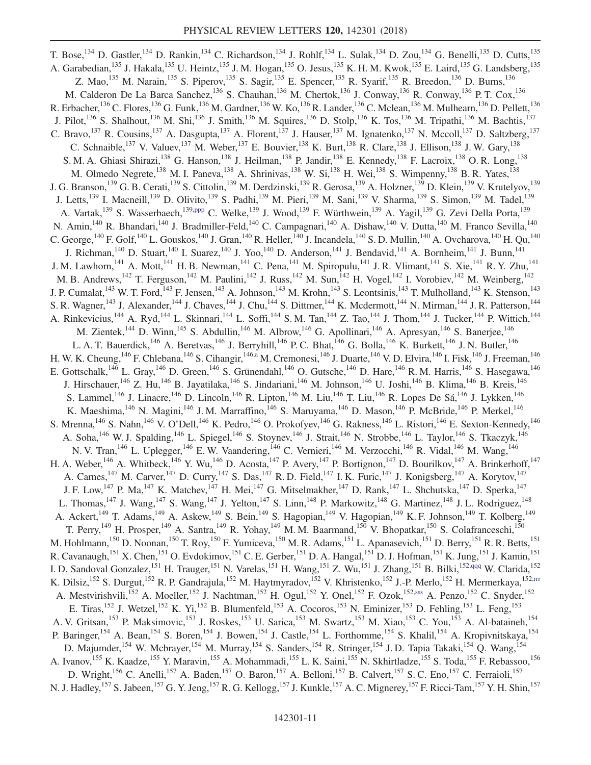<span id="page-10-4"></span><span id="page-10-3"></span><span id="page-10-2"></span><span id="page-10-1"></span><span id="page-10-0"></span>T. Bose,<sup>134</sup> D. Gastler,<sup>134</sup> D. Rankin,<sup>134</sup> C. Richardson,<sup>134</sup> J. Rohlf,<sup>134</sup> L. Sulak,<sup>134</sup> D. Zou,<sup>134</sup> G. Benelli,<sup>135</sup> D. Cutts,<sup>135</sup> A. Garabedian,<sup>135</sup> J. Hakala,<sup>135</sup> U. Heintz,<sup>135</sup> J. M. Hogan,<sup>135</sup> O. Jesus,<sup>135</sup> K. H. M. Kwok,<sup>135</sup> E. Laird,<sup>135</sup> G. Landsberg,<sup>135</sup> Z. Mao,<sup>135</sup> M. Narain,<sup>135</sup> S. Piperov,<sup>135</sup> S. Sagir,<sup>135</sup> E. Spencer,<sup>135</sup> R. Syarif,<sup>135</sup> R. Breedon,<sup>136</sup> D. Burns,<sup>136</sup> M. Calderon De La Barca Sanchez, 136 S. Chauhan, 136 M. Chertok, 136 J. Conway, 136 R. Conway, 136 P. T. Cox, 136 R. Erbacher,  $^{136}$  C. Flores,  $^{136}$  G. Funk,  $^{136}$  M. Gardner,  $^{136}$  W. Ko,  $^{136}$  R. Lander,  $^{136}$  C. Mclean,  $^{136}$  M. Mulhearn,  $^{136}$  D. Pellett,  $^{136}$ J. Pilot,<sup>136</sup> S. Shalhout,<sup>136</sup> M. Shi,<sup>136</sup> J. Smith,<sup>136</sup> M. Squires,<sup>136</sup> D. Stolp,<sup>136</sup> K. Tos,<sup>136</sup> M. Tripathi,<sup>136</sup> M. Bachtis,<sup>137</sup> C. Bravo,  $^{137}$  R. Cousins,  $^{137}$  A. Dasgupta,  $^{137}$  A. Florent,  $^{137}$  J. Hauser,  $^{137}$  M. Ignatenko,  $^{137}$  N. Mccoll,  $^{137}$  D. Saltzberg,  $^{137}$ C. Schnaible,<sup>137</sup> V. Valuev,<sup>137</sup> M. Weber,<sup>137</sup> E. Bouvier,<sup>138</sup> K. Burt,<sup>138</sup> R. Clare,<sup>138</sup> J. Ellison,<sup>138</sup> J. W. Gary,<sup>138</sup> S. M. A. Ghiasi Shirazi,<sup>138</sup> G. Hanson,<sup>138</sup> J. Heilman,<sup>138</sup> P. Jandir,<sup>138</sup> E. Kennedy,<sup>138</sup> F. Lacroix,<sup>138</sup> O. R. Long,<sup>138</sup> M. Olmedo Negrete,<sup>138</sup> M. I. Paneva,<sup>138</sup> A. Shrinivas,<sup>138</sup> W. Si,<sup>138</sup> H. Wei,<sup>138</sup> S. Wimpenny,<sup>138</sup> B. R. Yates,<sup>138</sup> J. G. Branson,<sup>139</sup> G. B. Cerati,<sup>139</sup> S. Cittolin,<sup>139</sup> M. Derdzinski,<sup>139</sup> R. Gerosa,<sup>139</sup> A. Holzner,<sup>139</sup> D. Klein,<sup>139</sup> V. Krutelyov,<sup>139</sup> J. Letts,<sup>139</sup> I. Macneill,<sup>139</sup> D. Olivito,<sup>139</sup> S. Padhi,<sup>139</sup> M. Pieri,<sup>139</sup> M. Sani,<sup>139</sup> V. Sharma,<sup>139</sup> S. Simon,<sup>139</sup> M. Tadel,<sup>139</sup> A. Vartak,<sup>139</sup> S. Wasserbaech,<sup>139[,ppp](#page-16-25)</sup> C. Welke,<sup>139</sup> J. Wood,<sup>139</sup> F. Würthwein,<sup>139</sup> A. Yagil,<sup>139</sup> G. Zevi Della Porta,<sup>139</sup> N. Amin,<sup>140</sup> R. Bhandari,<sup>140</sup> J. Bradmiller-Feld,<sup>140</sup> C. Campagnari,<sup>140</sup> A. Dishaw,<sup>140</sup> V. Dutta,<sup>140</sup> M. Franco Sevilla,<sup>140</sup> C. George,<sup>140</sup> F. Golf,<sup>140</sup> L. Gouskos,<sup>140</sup> J. Gran,<sup>140</sup> R. Heller,<sup>140</sup> J. Incandela,<sup>140</sup> S. D. Mullin,<sup>140</sup> A. Ovcharova,<sup>140</sup> H. Qu,<sup>140</sup> J. Richman,<sup>140</sup> D. Stuart,<sup>140</sup> I. Suarez,<sup>140</sup> J. Yoo,<sup>140</sup> D. Anderson,<sup>141</sup> J. Bendavid,<sup>141</sup> A. Bornheim,<sup>141</sup> J. Bunn,<sup>141</sup> J. M. Lawhorn,<sup>141</sup> A. Mott,<sup>141</sup> H. B. Newman,<sup>141</sup> C. Pena,<sup>141</sup> M. Spiropulu,<sup>141</sup> J. R. Vlimant,<sup>141</sup> S. Xie,<sup>141</sup> R. Y. Zhu,<sup>141</sup> M. B. Andrews,<sup>142</sup> T. Ferguson,<sup>142</sup> M. Paulini,<sup>142</sup> J. Russ,<sup>142</sup> M. Sun,<sup>142</sup> H. Vogel,<sup>142</sup> I. Vorobiev,<sup>142</sup> M. Weinberg,<sup>142</sup> J. P. Cumalat,<sup>143</sup> W. T. Ford,<sup>143</sup> F. Jensen,<sup>143</sup> A. Johnson,<sup>143</sup> M. Krohn,<sup>143</sup> S. Leontsinis,<sup>143</sup> T. Mulholland,<sup>143</sup> K. Stenson,<sup>143</sup> S. R. Wagner,<sup>143</sup> J. Alexander,<sup>144</sup> J. Chaves,<sup>144</sup> J. Chu,<sup>144</sup> S. Dittmer,<sup>144</sup> K. Mcdermott,<sup>144</sup> N. Mirman,<sup>144</sup> J. R. Patterson,<sup>144</sup> A. Rinkevicius,<sup>144</sup> A. Ryd,<sup>144</sup> L. Skinnari,<sup>144</sup> L. Soffi,<sup>144</sup> S. M. Tan,<sup>144</sup> Z. Tao,<sup>144</sup> J. Thom,<sup>144</sup> J. Tucker,<sup>144</sup> P. Wittich,<sup>144</sup> M. Zientek,<sup>144</sup> D. Winn,<sup>145</sup> S. Abdullin,<sup>146</sup> M. Albrow,<sup>146</sup> G. Apollinari,<sup>146</sup> A. Apresyan,<sup>146</sup> S. Banerjee,<sup>146</sup> L. A. T. Bauerdick,  $^{146}$  A. Beretvas,  $^{146}$  J. Berryhill,  $^{146}$  P. C. Bhat,  $^{146}$  G. Bolla,  $^{146}$  K. Burkett,  $^{146}$  J. N. Butler,  $^{146}$ H. W. K. Cheung, <sup>146</sup> F. Chlebana, <sup>146</sup> S. Cihangir, <sup>14[6,a](#page-15-40)</sup> M. Cremonesi, <sup>146</sup> J. Duarte, <sup>146</sup> V. D. Elvira, <sup>146</sup> I. Fisk, <sup>146</sup> J. Freeman, <sup>146</sup> E. Gottschalk,<sup>146</sup> L. Gray,<sup>146</sup> D. Green,<sup>146</sup> S. Grünendahl,<sup>146</sup> O. Gutsche,<sup>146</sup> D. Hare,<sup>146</sup> R. M. Harris,<sup>146</sup> S. Hasegawa,<sup>146</sup> J. Hirschauer,<sup>146</sup> Z. Hu,<sup>146</sup> B. Jayatilaka,<sup>146</sup> S. Jindariani,<sup>146</sup> M. Johnson,<sup>146</sup> U. Joshi,<sup>146</sup> B. Klima,<sup>146</sup> B. Kreis,<sup>146</sup> S. Lammel,<sup>146</sup> J. Linacre,<sup>146</sup> D. Lincoln,<sup>146</sup> R. Lipton,<sup>146</sup> M. Liu,<sup>146</sup> T. Liu,<sup>146</sup> R. Lopes De Sá,<sup>146</sup> J. Lykken,<sup>146</sup> K. Maeshima, <sup>146</sup> N. Magini, <sup>146</sup> J. M. Marraffino, <sup>146</sup> S. Maruyama, <sup>146</sup> D. Mason, <sup>146</sup> P. McBride, <sup>146</sup> P. Merkel, <sup>146</sup> S. Mrenna,  $^{146}$  S. Nahn,  $^{146}$  V. O'Dell,  $^{146}$  K. Pedro,  $^{146}$  O. Prokofyev,  $^{146}$  G. Rakness,  $^{146}$  L. Ristori,  $^{146}$  E. Sexton-Kennedy,  $^{146}$ A. Soha,<sup>146</sup> W. J. Spalding,<sup>146</sup> L. Spiegel,<sup>146</sup> S. Stoynev,<sup>146</sup> J. Strait,<sup>146</sup> N. Strobbe,<sup>146</sup> L. Taylor,<sup>146</sup> S. Tkaczyk,<sup>146</sup> N. V. Tran,<sup>146</sup> L. Uplegger,<sup>146</sup> E. W. Vaandering,<sup>146</sup> C. Vernieri,<sup>146</sup> M. Verzocchi,<sup>146</sup> R. Vidal,<sup>146</sup> M. Wang,<sup>146</sup> H. A. Weber,<sup>146</sup> A. Whitbeck,<sup>146</sup> Y. Wu,<sup>146</sup> D. Acosta,<sup>147</sup> P. Avery,<sup>147</sup> P. Bortignon,<sup>147</sup> D. Bourilkov,<sup>147</sup> A. Brinkerhoff,<sup>147</sup> A. Carnes,<sup>147</sup> M. Carver,<sup>147</sup> D. Curry,<sup>147</sup> S. Das,<sup>147</sup> R. D. Field,<sup>147</sup> I. K. Furic,<sup>147</sup> J. Konigsberg,<sup>147</sup> A. Korytov,<sup>147</sup> J. F. Low,<sup>147</sup> P. Ma,<sup>147</sup> K. Matchev,<sup>147</sup> H. Mei,<sup>147</sup> G. Mitselmakher,<sup>147</sup> D. Rank,<sup>147</sup> L. Shchutska,<sup>147</sup> D. Sperka,<sup>147</sup> L. Thomas,  $^{147}$  J. Wang,  $^{147}$  S. Wang,  $^{147}$  J. Yelton,  $^{147}$  S. Linn,  $^{148}$  P. Markowitz,  $^{148}$  G. Martinez,  $^{148}$  J. L. Rodriguez,  $^{148}$ A. Ackert,<sup>149</sup> T. Adams,<sup>149</sup> A. Askew,<sup>149</sup> S. Bein,<sup>149</sup> S. Hagopian,<sup>149</sup> V. Hagopian,<sup>149</sup> K. F. Johnson,<sup>149</sup> T. Kolberg,<sup>149</sup> T. Perry,<sup>149</sup> H. Prosper,<sup>149</sup> A. Santra,<sup>149</sup> R. Yohay,<sup>149</sup> M. M. Baarmand,<sup>150</sup> V. Bhopatkar,<sup>150</sup> S. Colafranceschi,<sup>150</sup> M. Hohlmann,<sup>150</sup> D. Noonan,<sup>150</sup> T. Roy,<sup>150</sup> F. Yumiceva,<sup>150</sup> M. R. Adams,<sup>151</sup> L. Apanasevich,<sup>151</sup> D. Berry,<sup>151</sup> R. R. Betts,<sup>151</sup> R. Cavanaugh,<sup>151</sup> X. Chen,<sup>151</sup> O. Evdokimov,<sup>151</sup> C. E. Gerber,<sup>151</sup> D. A. Hangal,<sup>151</sup> D. J. Hofman,<sup>151</sup> K. Jung,<sup>151</sup> J. Kamin,<sup>151</sup> I. D. Sandoval Gonzalez,<sup>151</sup> H. Trauger,<sup>151</sup> N. Varelas,<sup>151</sup> H. Wang,<sup>151</sup> Z. Wu,<sup>151</sup> J. Zhang,<sup>151</sup> B. Bilki,<sup>15[2,qqq](#page-16-26)</sup> W. Clarida,<sup>152</sup> K. Dilsiz,<sup>152</sup> S. Durgut,<sup>152</sup> R. P. Gandrajula,<sup>152</sup> M. Haytmyradov,<sup>152</sup> V. Khristenko,<sup>152</sup> J.-P. Merlo,<sup>152</sup> H. Mermerkaya,<sup>152, rrr</sup> A. Mestvirishvili,<sup>152</sup> A. Moeller,<sup>152</sup> J. Nachtman,<sup>152</sup> H. Ogul,<sup>152</sup> Y. Onel,<sup>152</sup> F. Ozok,<sup>15[2,sss](#page-16-28)</sup> A. Penzo,<sup>152</sup> C. Snyder,<sup>152</sup> E. Tiras,<sup>152</sup> J. Wetzel,<sup>152</sup> K. Yi,<sup>152</sup> B. Blumenfeld,<sup>153</sup> A. Cocoros,<sup>153</sup> N. Eminizer,<sup>153</sup> D. Fehling,<sup>153</sup> L. Feng,<sup>153</sup> A. V. Gritsan,<sup>153</sup> P. Maksimovic,<sup>153</sup> J. Roskes,<sup>153</sup> U. Sarica,<sup>153</sup> M. Swartz,<sup>153</sup> M. Xiao,<sup>153</sup> C. You,<sup>153</sup> A. Al-bataineh,<sup>154</sup> P. Baringer,<sup>154</sup> A. Bean,<sup>154</sup> S. Boren,<sup>154</sup> J. Bowen,<sup>154</sup> J. Castle,<sup>154</sup> L. Forthomme,<sup>154</sup> S. Khalil,<sup>154</sup> A. Kropivnitskaya,<sup>154</sup> D. Majumder, <sup>154</sup> W. Mcbrayer, <sup>154</sup> M. Murray, <sup>154</sup> S. Sanders, <sup>154</sup> R. Stringer, <sup>154</sup> J. D. Tapia Takaki, <sup>154</sup> Q. Wang, <sup>154</sup> A. Ivanov,<sup>155</sup> K. Kaadze,<sup>155</sup> Y. Maravin,<sup>155</sup> A. Mohammadi,<sup>155</sup> L. K. Saini,<sup>155</sup> N. Skhirtladze,<sup>155</sup> S. Toda,<sup>155</sup> F. Rebassoo,<sup>156</sup> D. Wright,<sup>156</sup> C. Anelli,<sup>157</sup> A. Baden,<sup>157</sup> O. Baron,<sup>157</sup> A. Belloni,<sup>157</sup> B. Calvert,<sup>157</sup> S. C. Eno,<sup>157</sup> C. Ferraioli,<sup>157</sup> N. J. Hadley, <sup>157</sup> S. Jabeen, <sup>157</sup> G. Y. Jeng, <sup>157</sup> R. G. Kellogg, <sup>157</sup> J. Kunkle, <sup>157</sup> A. C. Mignerey, <sup>157</sup> F. Ricci-Tam, <sup>157</sup> Y. H. Shin, <sup>157</sup>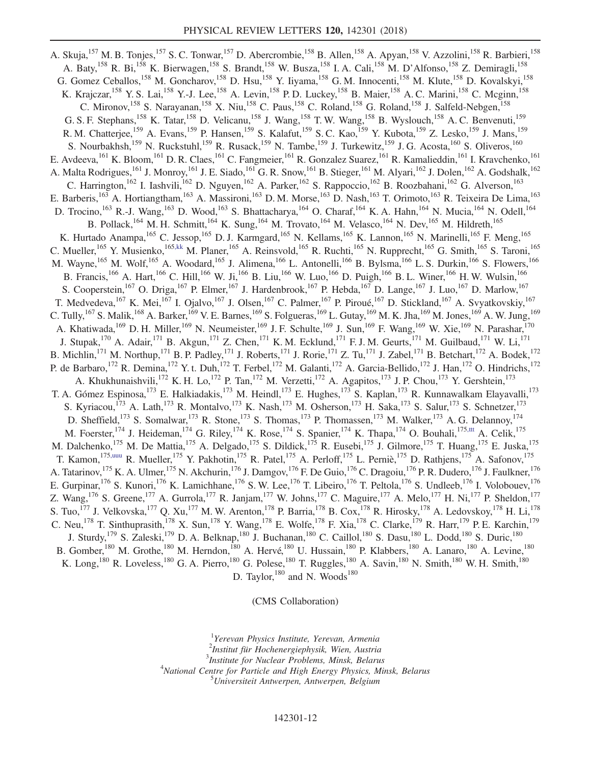A. Skuja, <sup>157</sup> M. B. Tonjes, <sup>157</sup> S. C. Tonwar, <sup>157</sup> D. Abercrombie, <sup>158</sup> B. Allen, <sup>158</sup> A. Apyan, <sup>158</sup> V. Azzolini, <sup>158</sup> R. Barbieri, <sup>158</sup> A. Baty,<sup>158</sup> R. Bi,<sup>158</sup> K. Bierwagen,<sup>158</sup> S. Brandt,<sup>158</sup> W. Busza,<sup>158</sup> I. A. Cali,<sup>158</sup> M. D'Alfonso,<sup>158</sup> Z. Demiragli,<sup>158</sup> G. Gomez Ceballos,<sup>158</sup> M. Goncharov,<sup>158</sup> D. Hsu,<sup>158</sup> Y. Iiyama,<sup>158</sup> G. M. Innocenti,<sup>158</sup> M. Klute,<sup>158</sup> D. Kovalskyi,<sup>158</sup> K. Krajczar,<sup>158</sup> Y. S. Lai,<sup>158</sup> Y.-J. Lee,<sup>158</sup> A. Levin,<sup>158</sup> P. D. Luckey,<sup>158</sup> B. Maier,<sup>158</sup> A. C. Marini,<sup>158</sup> C. Mcginn,<sup>158</sup> C. Mironov,<sup>158</sup> S. Narayanan,<sup>158</sup> X. Niu,<sup>158</sup> C. Paus,<sup>158</sup> C. Roland,<sup>158</sup> G. Roland,<sup>158</sup> J. Salfeld-Nebgen,<sup>158</sup> G. S. F. Stephans,<sup>158</sup> K. Tatar,<sup>158</sup> D. Velicanu,<sup>158</sup> J. Wang,<sup>158</sup> T. W. Wang,<sup>158</sup> B. Wyslouch,<sup>158</sup> A. C. Benvenuti,<sup>159</sup> R. M. Chatterjee,<sup>159</sup> A. Evans,<sup>159</sup> P. Hansen,<sup>159</sup> S. Kalafut,<sup>159</sup> S. C. Kao,<sup>159</sup> Y. Kubota,<sup>159</sup> Z. Lesko,<sup>159</sup> J. Mans,<sup>159</sup> S. Nourbakhsh,<sup>159</sup> N. Ruckstuhl,<sup>159</sup> R. Rusack,<sup>159</sup> N. Tambe,<sup>159</sup> J. Turkewitz,<sup>159</sup> J. G. Acosta,<sup>160</sup> S. Oliveros,<sup>160</sup> E. Avdeeva, <sup>161</sup> K. Bloom, <sup>161</sup> D. R. Claes, <sup>161</sup> C. Fangmeier, <sup>161</sup> R. Gonzalez Suarez, <sup>161</sup> R. Kamalieddin, <sup>161</sup> I. Kravchenko, <sup>161</sup> A. Malta Rodrigues,<sup>161</sup> J. Monroy,<sup>161</sup> J. E. Siado,<sup>161</sup> G. R. Snow,<sup>161</sup> B. Stieger,<sup>161</sup> M. Alyari,<sup>162</sup> J. Dolen,<sup>162</sup> A. Godshalk,<sup>162</sup> C. Harrington,<sup>162</sup> I. Iashvili,<sup>162</sup> D. Nguyen,<sup>162</sup> A. Parker,<sup>162</sup> S. Rappoccio,<sup>162</sup> B. Roozbahani,<sup>162</sup> G. Alverson,<sup>163</sup> E. Barberis,<sup>163</sup> A. Hortiangtham,<sup>163</sup> A. Massironi,<sup>163</sup> D. M. Morse,<sup>163</sup> D. Nash,<sup>163</sup> T. Orimoto,<sup>163</sup> R. Teixeira De Lima,<sup>163</sup> D. Trocino,<sup>163</sup> R.-J. Wang,<sup>163</sup> D. Wood,<sup>163</sup> S. Bhattacharya,<sup>164</sup> O. Charaf,<sup>164</sup> K. A. Hahn,<sup>164</sup> N. Mucia,<sup>164</sup> N. Odell,<sup>164</sup> B. Pollack,<sup>164</sup> M. H. Schmitt,<sup>164</sup> K. Sung,<sup>164</sup> M. Trovato,<sup>164</sup> M. Velasco,<sup>164</sup> N. Dev,<sup>165</sup> M. Hildreth,<sup>165</sup> K. Hurtado Anampa, <sup>165</sup> C. Jessop, <sup>165</sup> D. J. Karmgard, <sup>165</sup> N. Kellams, <sup>165</sup> K. Lannon, <sup>165</sup> N. Marinelli, <sup>165</sup> F. Meng, <sup>165</sup> C. Mueller, <sup>165</sup> Y. Musienko, <sup>165[,kk](#page-15-34)</sup> M. Planer, <sup>165</sup> A. Reinsvold, <sup>165</sup> R. Ruchti, <sup>165</sup> N. Rupprecht, <sup>165</sup> G. Smith, <sup>165</sup> S. Taroni, <sup>165</sup> M. Wayne,<sup>165</sup> M. Wolf,<sup>165</sup> A. Woodard,<sup>165</sup> J. Alimena,<sup>166</sup> L. Antonelli,<sup>166</sup> B. Bylsma,<sup>166</sup> L. S. Durkin,<sup>166</sup> S. Flowers,<sup>166</sup> B. Francis,<sup>166</sup> A. Hart,<sup>166</sup> C. Hill,<sup>166</sup> W. Ji,<sup>166</sup> B. Liu,<sup>166</sup> W. Luo,<sup>166</sup> D. Puigh,<sup>166</sup> B. L. Winer,<sup>166</sup> H. W. Wulsin,<sup>166</sup> S. Cooperstein,<sup>167</sup> O. Driga,<sup>167</sup> P. Elmer,<sup>167</sup> J. Hardenbrook,<sup>167</sup> P. Hebda,<sup>167</sup> D. Lange,<sup>167</sup> J. Luo,<sup>167</sup> D. Marlow,<sup>167</sup> T. Medvedeva, <sup>167</sup> K. Mei, <sup>167</sup> I. Ojalvo, <sup>167</sup> J. Olsen, <sup>167</sup> C. Palmer, <sup>167</sup> P. Piroué, <sup>167</sup> D. Stickland, <sup>167</sup> A. Svyatkovskiy, <sup>167</sup> C. Tully,<sup>167</sup> S. Malik,<sup>168</sup> A. Barker,<sup>169</sup> V. E. Barnes,<sup>169</sup> S. Folgueras,<sup>169</sup> L. Gutay,<sup>169</sup> M. K. Jha,<sup>169</sup> M. Jones,<sup>169</sup> A. W. Jung,<sup>169</sup> A. Khatiwada,<sup>169</sup> D. H. Miller,<sup>169</sup> N. Neumeister,<sup>169</sup> J. F. Schulte,<sup>169</sup> J. Sun,<sup>169</sup> F. Wang,<sup>169</sup> W. Xie,<sup>169</sup> N. Parashar,<sup>170</sup> J. Stupak,<sup>170</sup> A. Adair,<sup>171</sup> B. Akgun,<sup>171</sup> Z. Chen,<sup>171</sup> K. M. Ecklund,<sup>171</sup> F. J. M. Geurts,<sup>171</sup> M. Guilbaud,<sup>171</sup> W. Li,<sup>171</sup> B. Michlin,<sup>171</sup> M. Northup,<sup>171</sup> B. P. Padley,<sup>171</sup> J. Roberts,<sup>171</sup> J. Rorie,<sup>171</sup> Z. Tu,<sup>171</sup> J. Zabel,<sup>171</sup> B. Betchart,<sup>172</sup> A. Bodek,<sup>172</sup> P. de Barbaro,<sup>172</sup> R. Demina,<sup>172</sup> Y. t. Duh,<sup>172</sup> T. Ferbel,<sup>172</sup> M. Galanti,<sup>172</sup> A. Garcia-Bellido,<sup>172</sup> J. Han,<sup>172</sup> O. Hindrichs,<sup>172</sup> A. Khukhunaishvili,<sup>172</sup> K. H. Lo,<sup>172</sup> P. Tan,<sup>172</sup> M. Verzetti,<sup>172</sup> A. Agapitos,<sup>173</sup> J. P. Chou,<sup>173</sup> Y. Gershtein,<sup>173</sup> T. A. Gómez Espinosa,<sup>173</sup> E. Halkiadakis,<sup>173</sup> M. Heindl,<sup>173</sup> E. Hughes,<sup>173</sup> S. Kaplan,<sup>173</sup> R. Kunnawalkam Elayavalli,<sup>173</sup> S. Kyriacou,<sup>173</sup> A. Lath,<sup>173</sup> R. Montalvo,<sup>173</sup> K. Nash,<sup>173</sup> M. Osherson,<sup>173</sup> H. Saka,<sup>173</sup> S. Salur,<sup>173</sup> S. Schnetzer,<sup>173</sup> D. Sheffield,<sup>173</sup> S. Somalwar,<sup>173</sup> R. Stone,<sup>173</sup> S. Thomas,<sup>173</sup> P. Thomassen,<sup>173</sup> M. Walker,<sup>173</sup> A. G. Delannoy,<sup>174</sup> M. Foerster,<sup>174</sup> J. Heideman,<sup>174</sup> G. Riley,<sup>174</sup> K. Rose,<sup>174</sup> S. Spanier,<sup>174</sup> K. Thapa,<sup>174</sup> O. Bouhali,<sup>17[5,ttt](#page-16-29)</sup> A. Celik,<sup>175</sup> M. Dalchenko,<sup>175</sup> M. De Mattia,<sup>175</sup> A. Delgado,<sup>175</sup> S. Dildick,<sup>175</sup> R. Eusebi,<sup>175</sup> J. Gilmore,<sup>175</sup> T. Huang,<sup>175</sup> E. Juska,<sup>175</sup> T. Kamon,<sup>17[5,uuu](#page-16-30)</sup> R. Mueller,<sup>175</sup> Y. Pakhotin,<sup>175</sup> R. Patel,<sup>175</sup> A. Perloff,<sup>175</sup> L. Perniè,<sup>175</sup> D. Rathjens,<sup>175</sup> A. Safonov,<sup>175</sup> A. Tatarinov,<sup>175</sup> K. A. Ulmer,<sup>175</sup> N. Akchurin,<sup>176</sup> J. Damgov,<sup>176</sup> F. De Guio,<sup>176</sup> C. Dragoiu,<sup>176</sup> P. R. Dudero,<sup>176</sup> J. Faulkner,<sup>176</sup> E. Gurpinar, <sup>176</sup> S. Kunori, <sup>176</sup> K. Lamichhane, <sup>176</sup> S. W. Lee, <sup>176</sup> T. Libeiro, <sup>176</sup> T. Peltola, <sup>176</sup> S. Undleeb, <sup>176</sup> I. Volobouev, <sup>176</sup> Z. Wang,  $^{176}$  S. Greene,  $^{177}$  A. Gurrola,  $^{177}$  R. Janjam,  $^{177}$  W. Johns,  $^{177}$  C. Maguire,  $^{177}$  A. Melo,  $^{177}$  H. Ni,  $^{177}$  P. Sheldon,  $^{177}$ S. Tuo,<sup>177</sup> J. Velkovska,<sup>177</sup> Q. Xu,<sup>177</sup> M. W. Arenton,<sup>178</sup> P. Barria,<sup>178</sup> B. Cox,<sup>178</sup> R. Hirosky,<sup>178</sup> A. Ledovskoy,<sup>178</sup> H. Li,<sup>178</sup> C. Neu,<sup>178</sup> T. Sinthuprasith,<sup>178</sup> X. Sun,<sup>178</sup> Y. Wang,<sup>178</sup> E. Wolfe,<sup>178</sup> F. Xia,<sup>178</sup> C. Clarke,<sup>179</sup> R. Harr,<sup>179</sup> P. E. Karchin,<sup>179</sup> J. Sturdy, <sup>179</sup> S. Zaleski, <sup>179</sup> D. A. Belknap, <sup>180</sup> J. Buchanan, <sup>180</sup> C. Caillol, <sup>180</sup> S. Dasu, <sup>180</sup> L. Dodd, <sup>180</sup> S. Duric, <sup>180</sup> B. Gomber, <sup>180</sup> M. Grothe, <sup>180</sup> M. Herndon, <sup>180</sup> A. Hervé, <sup>180</sup> U. Hussain, <sup>180</sup> P. Klabbers, <sup>180</sup> A. Lanaro, <sup>180</sup> A. Levine, <sup>180</sup> K. Long,<sup>180</sup> R. Loveless,<sup>180</sup> G. A. Pierro,<sup>180</sup> G. Polese,<sup>180</sup> T. Ruggles,<sup>180</sup> A. Savin,<sup>180</sup> N. Smith,<sup>180</sup> W. H. Smith,<sup>180</sup> D. Taylor,  $180$  and N. Woods  $180$ 

(CMS Collaboration)

<span id="page-11-1"></span><span id="page-11-0"></span><sup>1</sup>Yerevan Physics Institute, Yerevan, Armenia 2 Institut für Hochenergiephysik, Wien, Austria <sup>3</sup>Institute for Nuclear Problems, Minsk, Belarus<br><sup>4</sup>National Centre for Particle and High Energy Physics Mi <sup>4</sup>National Centre for Particle and High Energy Physics, Minsk, Belarus Universiteit Antwerpen, Antwerpen, Belgium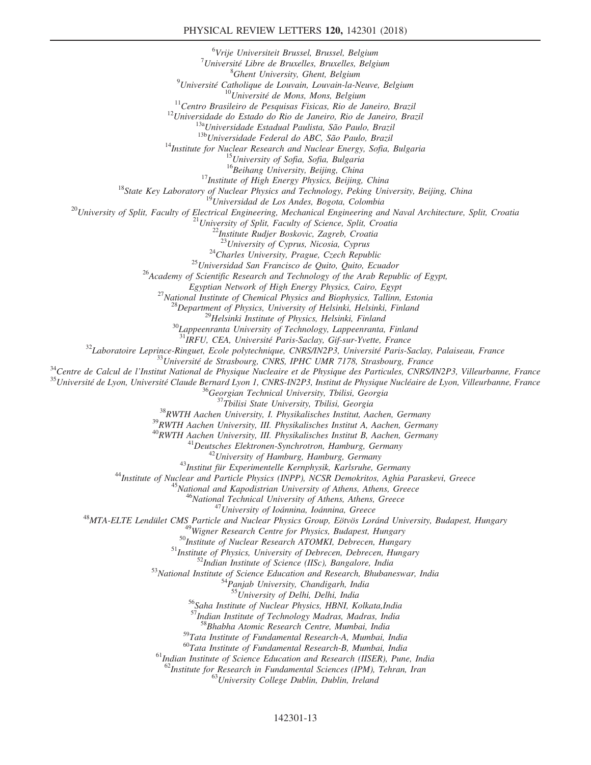## PHYSICAL REVIEW LETTERS 120, 142301 (2018)

<sup>6</sup>Vrije Universiteit Brussel, Brussel, Belgium<br><sup>7</sup>Université Libre de Pruxelles, Pruxelles, Belgi <sup>7</sup>Université Libre de Bruxelles, Bruxelles, Belgium  ${}^{8}$ Ghent University, Ghent, Belgium  ${}^{9}$ Université Catholique de Louvain, Louvain-la-Neuve, Belgium <sup>10</sup>Université de Mons, Mons, Belgium<br><sup>11</sup>Centro Brasileiro de Pesquisas Fisicas, Rio de Janeiro, Brazil<br><sup>12</sup>Universidade do Estado do Rio de Janeiro, Rio de Janeiro, Brazil<br><sup>13</sup>Universidade Estadual Paulista, São Paulo, <sup>17</sup>*Institute of High Energy Physics, Beijing, China*<br><sup>18</sup>*State Key Laboratory of Nuclear Physics and Technology, Peking University, Beijing, China*<br><sup>19</sup>*Universidad de Los Andes, Bogota, Colombia*<br><sup>20</sup>*University of Sp* <sup>24</sup>Charles University, Prague, Czech Republic<br><sup>25</sup>Universidad San Francisco de Quito, Quito, Ecuador<br><sup>26</sup>Academy of Scientific Research and Technology of the Arab Republic of Egypt,<br>Egyptian Network of High Energy Physic <sup>27</sup>National Institute of Chemical Physics and Biophysics, Tallinn, Estonia<br><sup>28</sup>Department of Physics, University of Helsinki, Helsinki, Finland<br><sup>29</sup>Helsinki Institute of Physics, Helsinki, Finland<br><sup>30</sup>Lappeenranta Univer <sup>31</sup>IRFU, CEA, Universit´e Paris-Saclay, Gif-sur-Yvette, France <sup>32</sup>Laboratoire Leprince-Ringuet, Ecole polytechnique, CNRS/IN2P3, Universit´e Paris-Saclay, Palaiseau, France <sup>33</sup>Universit´e de Strasbourg, CNRS, IPHC UMR 7178, Strasbourg, France <sup>34</sup>Centre de Calcul de l'Institut National de Physique Nucleaire et de Physique des Particules, CNRS/IN2P3, Villeurbanne, France <sup>35</sup>Universit´e de Lyon, Universit´e Claude Bernard Lyon 1, CNRS-IN2P3, Institut de Physique Nucl´eaire de Lyon, Villeurbanne, France <sup>36</sup>Georgian Technical University, Tbilisi, Georgia <sup>37</sup>Tbilisi State University, Tbilisi, Georgia <sup>38</sup>RWTH Aachen University, I. Physikalisches Institut, Aachen, Germany <sup>39</sup>RWTH Aachen University, III. Physikalisches Institut A, Aachen, Germany  $\begin{array}{c} \begin{array}{c} \begin{array}{c} \begin{array}{c} \begin{array}{c} \begin{array}{c} \begin{array}{c} \begin{array}{c} \begin{array}{c} \begin{array}{c} \begin{array}{c} \begin{array}{c} \end{array}} \end{array} & \begin{array}{c} \begin{array}{c} \end{array} \end{array} & \begin{array}{c} \end{array} & \begin{array}{c} \end{array} & \begin{array}{c} \end{array} & \begin{array}{c} \end{array} & \begin{array}{c} \end{array} & \begin{array}{c} \end{array} & \begin{array}{c} \end{array} & \begin{array}{c} \end$ <sup>55</sup>University of Delhi, Delhi, India<br><sup>56</sup>Saha Institute of Nuclear Physics, HBNI, Kolkata,India <sup>57</sup>Indian Institute of Technology Madras, Madras, India <sup>58</sup>Bhabha Atomic Research Centre, Mumbai, India <sup>59</sup>Tata Institute of Fundamental Research-A, Mumbai, India<br><sup>60</sup>Tata Institute of Fundamental Research-B, Mumbai, India  $61$ Indian Institute of Science Education and Research (IISER), Pune, India <sup>62</sup>Institute for Research in Fundamental Sciences (IPM), Tehran, Iran  $^{63}$ University College Dublin, Dublin, Ireland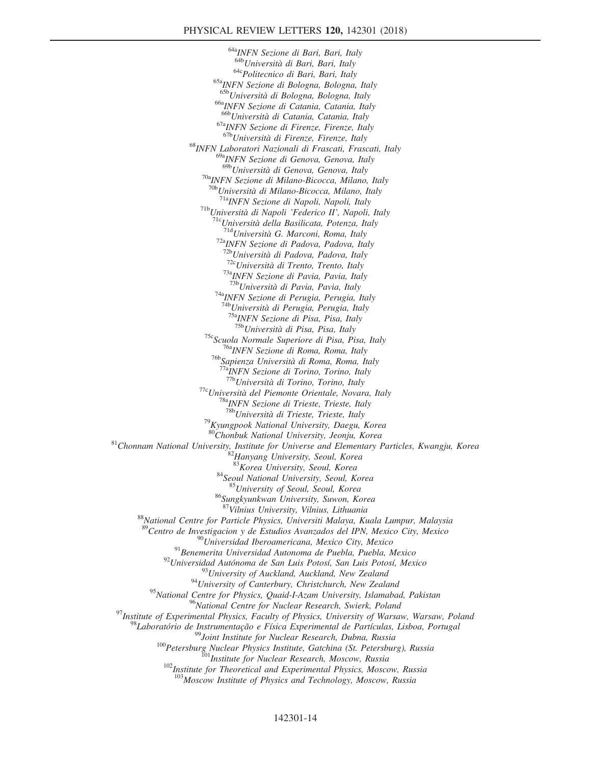<sup>64a</sup>INFN Sezione di Bari, Bari, Italy<br><sup>64b</sup>Università di Bari, Bari, Italy  $64c$ Politecnico di Bari, Bari, Italy  $65a$ INFN Sezione di Bologna, Bologna, Italy  $65b$ Università di Bologna, Bologna, Italy <sup>66a</sup>INFN Sezione di Catania, Catania, Italy<br><sup>66b</sup>Università di Catania, Catania, Italy  $^{67a}$ INFN Sezione di Firenze, Firenze, Italy  $^{67b}$ Università di Firenze, Firenze, Italy <sup>68</sup>INFN Laboratori Nazionali di Frascati, Frascati, Italy <sup>69a</sup>INFN Sezione di Genova, Genova, Italy<br><sup>69b</sup>Università di Genova, Genova, Italy <sup>70a</sup>INFN Sezione di Milano-Bicocca, Milano, Italy <sup>70b</sup>Università di Milano-Bicocca, Milano, Italy <sup>71a</sup>INFN Sezione di Napoli, Napoli, Italy<br><sup>71b</sup>Università di Napoli 'Federico II', Napoli, Italy<br><sup>716</sup>Università della Basilicata, Potenza, Italy<br><sup>714</sup>Università G. Marconi, Roma, Italy<br><sup>72</sup>aINFN Sezione di Padova, Padov <sup>72c</sup>Università di Trento, Trento, Italy <sup>73a</sup>INFN Sezione di Pavia, Pavia, Italy <sup>73b</sup>Università di Pavia, Pavia, Italy <sup>74a</sup>INFN Sezione di Perugia, Perugia, Italy<br><sup>74b</sup>Università di Perugia, Perugia, Italy <sup>75a</sup>INFN Sezione di Pisa, Pisa, Italy <sup>75b</sup>Università di Pisa, Pisa, Italy <sup>75c</sup>Scuola Normale Superiore di Pisa, Pisa, Italy <sup>76b</sup>Sapienza Università di Roma, Roma, Italy <sup>77b</sup>INFN Sezione di Torino, Torino, Italy <sup>77b</sup>Università di Torino, Torino, Italy <sup>77c</sup>Università del Piemonte Orientale, Novara, Italy <sup>78a</sup>INFN Sezione di Trieste, Trieste, Italy <sup>78b</sup>Università di Trieste, Trieste, Italy <sup>79</sup>Kyungpook National University, Daegu, Korea<br><sup>80</sup>Chonbuk National University, Jeonju, Korea <sup>81</sup>Chonnam National University, Institute for Universe and Elementary Particles, Kwangju, Korea  $^{82}$ Hanyang University, Seoul, Korea  $^{83}$ Korea University, Seoul, Korea <sup>84</sup> Seoul National University, Seoul, Korea<br><sup>85</sup> University of Seoul, Seoul, Korea  $86$ Sungkyunkwan University, Suwon, Korea  $87$ Vilnius University, Vilnius, Lithuania <sup>88</sup>National Centre for Particle Physics, Universiti Malaya, Kuala Lumpur, Malaysia<br><sup>89</sup>Centro de Investigacion y de Estudios Avanzados del IPN, Mexico City, Mexico <sup>90</sup>Universidad Iberoamericana, Mexico City, Mexico<br><sup>91</sup>Benemerita Universidad Autonoma de Puebla, Puebla, Mexico<br><sup>92</sup>Universidad Autónoma de San Luis Potosí, San Luis Potosí, Mexico<br><sup>92</sup>University of Auckland, Auckland, <sup>95</sup>National Centre for Physics, Quaid-I-Azam University, Islamabad, Pakistan<br><sup>96</sup>National Centre for Nuclear Research, Swierk, Poland <sup>97</sup>Institute of Experimental Physics, Faculty of Physics, University of Warsaw, Warsaw, Poland<br><sup>98</sup>Laboratório de Instrumentação e Física Experimental de Partículas, Lisboa, Portugal<br><sup>99</sup>Joint Institute for Nuclear Resea

 $103M$ oscow Institute of Physics and Technology, Moscow, Russia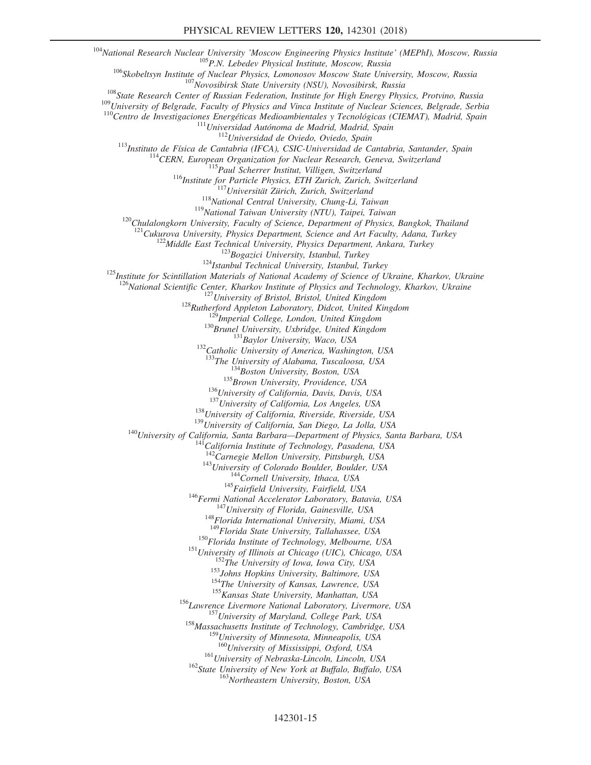$\begin{array}{l} \n ^{104}\text{National Research Nuclear University 'Moscow Engineering Physics Institute' (MEPhI), Moscow, Russia}\\ \n ^{105}\text{Skobeltsyn Institute of McDeedev Physics, Lomoosow, Russia}\\ \n ^{106}\text{Skobeltsyn Institute of Nuclear Physics, Lomoosow States University, Moscow, Russia\\ \n ^{107}\text{Novosibirsk States University (NSU), Novsibirsk, Russia}\\ \n ^{108}\text{State Research Center of Russian Federation, Institute for High Energy Physics, Protvino, Russia}\\ \n ^{108}\text{Whiteexiger of Russian Federation, Institute of Nuclear Sciences, Belgrade, Serbia}\\ \n ^{110}\text{Chiversity of Belgrade, Faculty of Physics and Vinca Institute of Nuclear Sciences, Belgrade, Serbia}\\ \n ^$ 

<sup>120</sup>Chulalongkorn University, Faculty of Science, Department of Physics, Bangkok, Thailand<br><sup>121</sup>Cukurova University, Physics Department, Science and Art Faculty, Adana, Turkey<br><sup>122</sup>Middle East Technical University, Physi

<sup>126</sup>National Scientific Center, Kharkov Institute of Physics and Technology, Kharkov, Ukraine<br><sup>127</sup>University of Bristol, Bristol, United Kingdom<br><sup>128</sup>Rutherford Appleton Laboratory, Didcot, United Kingdom<br><sup>129</sup>Imperial

<sup>135</sup>Brown University, Providence, USA<br><sup>136</sup>University of California, Davis, Davis, USA<br><sup>137</sup>University of California, Los Angeles, USA<br><sup>138</sup>University of California, Riverside, Riverside, USA<br><sup>139</sup>University of Californi

<sup>143</sup>University of Colorado Boulder, Boulder, USA<br><sup>144</sup>Cornell University, Ithaca, USA<br><sup>145</sup>Fairfield University, Fairfield, USA<br><sup>146</sup>Fermi National Accelerator Laboratory, Batavia, USA<br><sup>147</sup>University of Florida, Gainesv

<sup>150</sup>Florida Institute of Technology, Melbourne, USA<br><sup>151</sup>University of Illinois at Chicago (UIC), Chicago, USA<br><sup>152</sup>The University of Iowa, Iowa City, USA<br><sup>153</sup>The University of Kansas, Lawrence, USA<br><sup>154</sup>The University

<sup>159</sup>University of Minnesota, Minneapolis, USA<br><sup>160</sup>University of Mississippi, Oxford, USA

<sup>161</sup>University of Nebraska-Lincoln, Lincoln, USA  $^{162}$ State University of New York at Buffalo, Buffalo, USA  $^{163}$ Northeastern University, Boston, USA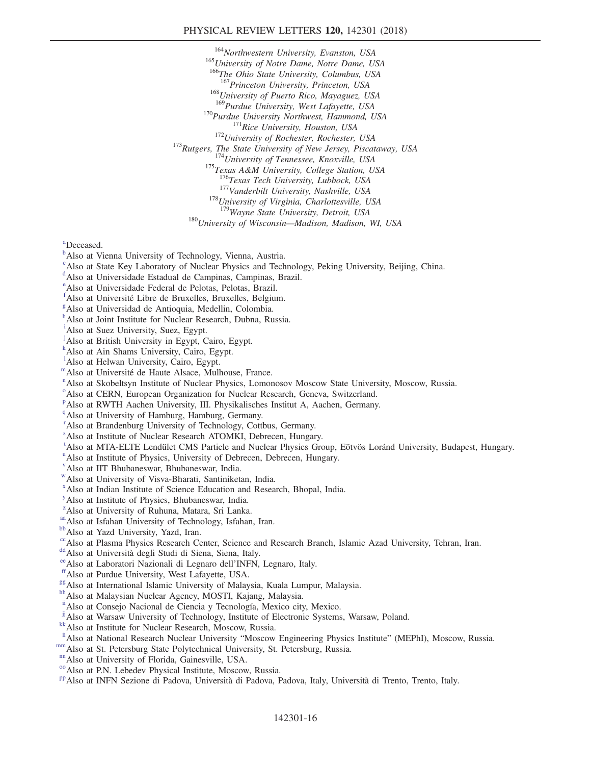<sup>164</sup>Northwestern University, Evanston, USA<br><sup>165</sup>University of Notre Dame, Notre Dame, USA  $166$ The Ohio State University, Columbus, USA<br> $167$ Princeton University, Princeton, USA <sup>168</sup>University of Puerto Rico, Mayaguez, USA<br><sup>169</sup>Purdue University, West Lafayette, USA <sup>170</sup>Purdue University Northwest, Hammond, USA<br><sup>171</sup>Rice University, Houston, USA<br><sup>172</sup>University of Rochester, Rochester, USA<br><sup>173</sup>Rutgers, The State University of New Jersey, Piscataway, USA<br><sup>174</sup>University of Tennessee <sup>177</sup>Vanderbilt University, Nashville, USA <sup>178</sup>University of Virginia, Charlottesville, USA <sup>179</sup>Wayne State University, Detroit, USA  $180$ University of Wisconsin—Madison, Madison, WI, USA

<span id="page-15-40"></span>[a](#page-10-0) Deceased.

- <span id="page-15-0"></span><sup>[b](#page-5-23)</sup>Also at Vienna University of Technology, Vienna, Austria.
- <span id="page-15-1"></span><sup>[c](#page-6-0)</sup>Also at State Key Laboratory of Nuclear Physics and Technology, Peking University, Beijing, China.
- <span id="page-15-2"></span><sup>[d](#page-6-1)</sup>Also at Universidade Estadual de Campinas, Campinas, Brazil.
- <span id="page-15-3"></span>[e](#page-6-2) Also at Universidade Federal de Pelotas, Pelotas, Brazil.
- <span id="page-15-4"></span> $f$ Also at Université Libre de Bruxelles, Bruxelles, Bel[g](#page-6-4)ium.
- <span id="page-15-5"></span>Also at Universidad de Antioquia, Medellin, Colombia.
- <span id="page-15-6"></span>[h](#page-6-5) Also at Joint Institute for Nuclear Research, Dubna, Russia.
- <span id="page-15-7"></span><sup>[i](#page-6-6)</sup>Also at Suez University, Suez, Egypt.
- j Also at British University in Egypt, Cairo, Egypt.
- <span id="page-15-8"></span>[k](#page-6-6) Also at Ain Shams University, Cairo, Egypt.
- <span id="page-15-9"></span><sup>1</sup>A[l](#page-6-6)so at Helwan University, Cairo, Egypt.
- <span id="page-15-10"></span><sup>[m](#page-6-7)</sup>Also at U[n](#page-6-8)iversité de Haute Alsace, Mulhouse, France.
- <span id="page-15-11"></span><sup>n</sup>Also at Skobeltsyn Institute of Nuclear Physics, Lomonosov Moscow State University, Moscow, Russia.
- <span id="page-15-12"></span><sup>[o](#page-6-9)</sup> Also at CERN, European Organization for Nuclear Research, Geneva, Switzerland.
- <span id="page-15-13"></span><su[p](#page-6-10)>p</sup>Also at RWTH Aachen University, III. Physikalisches Institut A, Aachen, Germany.
- <span id="page-15-14"></span><sup>[q](#page-6-11)</sup>Also at University of Hamburg, Hamburg, Germany.
- <span id="page-15-15"></span><sup>[r](#page-6-12)</sup> Also at Brandenburg University of Technology, Cottbus, Germany.
- <span id="page-15-16"></span>[s](#page-7-0) Also at Institute of Nuclear Research ATOMKI, Debrecen, Hungary.
- <span id="page-15-17"></span>[t](#page-7-1) Also at MTA-ELTE Lendület CMS Particle and Nuclear Physics Group, Eötvös Loránd University, Budapest, Hungary.
- <span id="page-15-18"></span><s[u](#page-7-2)p>u</sup>Also at Institute of Physics, University of Debrecen, Debrecen, Hungary.
- <span id="page-15-19"></span>[v](#page-7-3) Also at IIT Bhubaneswar, Bhubaneswar, India.
- <span id="page-15-20"></span>[w](#page-7-4)Also at University of Visva-Bharati, Santiniketan, India.
- <span id="page-15-21"></span>[x](#page-7-3) Also at Indian Institute of Science Education and Research, Bhopal, India.
- <span id="page-15-22"></span>[y](#page-7-3) Also at Institute of Physics, Bhubaneswar, India.
- <span id="page-15-23"></span><sup>[z](#page-7-4)</sup>Also at University of Ruhuna, Matara, Sri Lanka.
- <span id="page-15-24"></span>[aa](#page-7-5) Also at Isfahan University of Technology, Isfahan, Iran. [bb](#page-7-6) Also at Yazd University, Yazd, Iran.
- <span id="page-15-25"></span>
- <span id="page-15-26"></span><sup>[cc](#page-7-6)</sup> Also at Plasma Physics Research Center, Science and Research Branch, Islamic Azad University, Tehran, Iran.<br><sup>[dd](#page-7-7)</sup> Also at Università degli Studi di Siena, Siena, Italy.<br><sup>ec</sup> Also at Laboratori Nazionali di Legnaro dell
- <span id="page-15-28"></span><span id="page-15-27"></span>
- <span id="page-15-29"></span>
- <span id="page-15-30"></span>
- <span id="page-15-31"></span>
- 
- <span id="page-15-32"></span>[ii](#page-8-4)Also at Consejo Nacional de Ciencia y Tecnología, Mexico city, Mexico.
- <span id="page-15-33"></span><sup>[jj](#page-8-5)</sup>Also at Warsaw University of Technology, Institute of Electronic Systems, Warsaw, Poland. [kk](#page-8-6)Also at Institute for Nuclear Research, Moscow, Russia.
- <span id="page-15-34"></span>
- <span id="page-15-37"></span><sup>11</sup>Also at National Research Nuclear University "Moscow Engineering Physics Institute" (MEPhI), Moscow, Russia.<br><sup>nm</sup>Also at St. Petersburg State Polytechnical University, St. Petersburg, Russia.<br><sup>nm</sup>Also at University of
- <span id="page-15-36"></span><span id="page-15-35"></span>
- <span id="page-15-38"></span>
- <span id="page-15-39"></span>
-